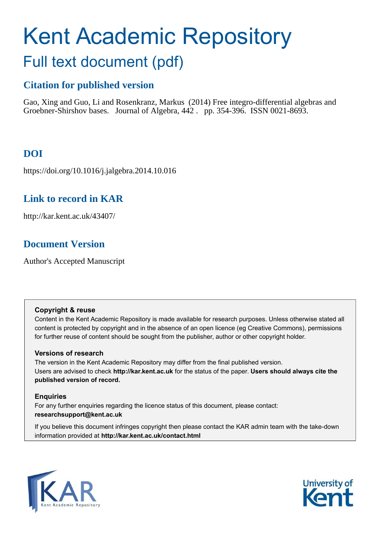# Kent Academic Repository Full text document (pdf)

# **Citation for published version**

Gao, Xing and Guo, Li and Rosenkranz, Markus (2014) Free integro-differential algebras and Groebner-Shirshov bases. Journal of Algebra, 442 . pp. 354-396. ISSN 0021-8693.

# **DOI**

https://doi.org/10.1016/j.jalgebra.2014.10.016

# **Link to record in KAR**

http://kar.kent.ac.uk/43407/

# **Document Version**

Author's Accepted Manuscript

## **Copyright & reuse**

Content in the Kent Academic Repository is made available for research purposes. Unless otherwise stated all content is protected by copyright and in the absence of an open licence (eg Creative Commons), permissions for further reuse of content should be sought from the publisher, author or other copyright holder.

## **Versions of research**

The version in the Kent Academic Repository may differ from the final published version. Users are advised to check **http://kar.kent.ac.uk** for the status of the paper. **Users should always cite the published version of record.**

## **Enquiries**

For any further enquiries regarding the licence status of this document, please contact: **researchsupport@kent.ac.uk**

If you believe this document infringes copyright then please contact the KAR admin team with the take-down information provided at **http://kar.kent.ac.uk/contact.html**



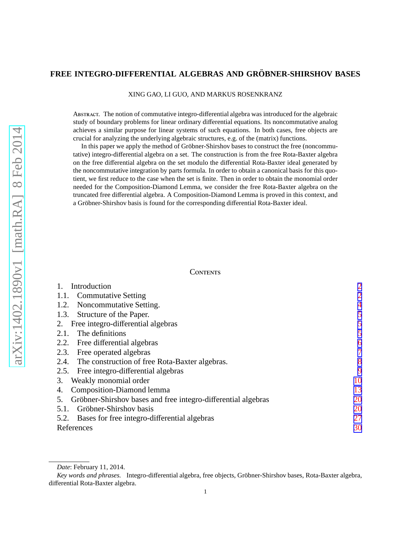### <span id="page-1-0"></span>**FREE INTEGRO-DIFFERENTIAL ALGEBRAS AND GROBNER-SHIRSHOV BASES ¨**

XING GAO, LI GUO, AND MARKUS ROSENKRANZ

Abstract. The notion of commutative integro-differential algebra was introduced for the algebraic study of boundary problems for linear ordinary differential equations. Its noncommutative analog achieves a similar purpose for linear systems of such equations. In both cases, free objects are crucial for analyzing the underlying algebraic structures, e.g. of the (matrix) functions.

In this paper we apply the method of Gröbner-Shirshov bases to construct the free (noncommutative) integro-differential algebra on a set. The construction is from the free Rota-Baxter algebra on the free differential algebra on the set modulo the differential Rota-Baxter ideal generated by the noncommutative integration by parts formula. In order to obtain a canonical basis for this quotient, we first reduce to the case when the set is finite. Then in order to obtain the monomial order needed for the Composition-Diamond Lemma, we consider the free Rota-Baxter algebra on the truncated free differential algebra. A Composition-Diamond Lemma is proved in this context, and a Gröbner-Shirshov basis is found for the corresponding differential Rota-Baxter ideal.

#### **CONTENTS**

| Introduction                                                        | $\overline{2}$ |
|---------------------------------------------------------------------|----------------|
| 1.1. Commutative Setting                                            | $\overline{2}$ |
| Noncommutative Setting.<br>1.2.                                     |                |
| 1.3. Structure of the Paper.                                        | 5              |
| Free integro-differential algebras<br>2.                            | 5              |
| The definitions<br>2.1.                                             | 5              |
| 2.2. Free differential algebras                                     | 6              |
| Free operated algebras<br>2.3.                                      | 7              |
| 2.4. The construction of free Rota-Baxter algebras.                 | 8              |
| Free integro-differential algebras<br>2.5.                          | 9              |
| Weakly monomial order<br>3.                                         | 10             |
| Composition-Diamond lemma<br>4.                                     | 13             |
| Gröbner-Shirshov bases and free integro-differential algebras<br>5. | 20             |
| 5.1. Gröbner-Shirshov basis                                         | 20             |
| 5.2. Bases for free integro-differential algebras                   | 27             |
| References                                                          | 30             |

*Date*: February 11, 2014.

Key words and phrases. Integro-differential algebra, free objects, Gröbner-Shirshov bases, Rota-Baxter algebra, differential Rota-Baxter algebra.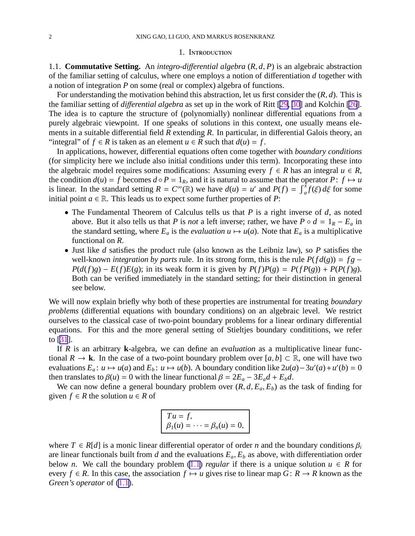#### 1. INTRODUCTION

<span id="page-2-0"></span>1.1. **Commutative Setting.** An *integro-di*ff*erential algebra* (*R*, *d*, *P*) is an algebraic abstraction of the familiar setting of calculus, where one employs a notion of differentiation *d* together with a notion of integration *P* on some (real or complex) algebra of functions.

For understanding the motivation behind this abstraction, let us first consider the (*R*, *d*). This is the familiar setting of *di*ff*erential algebra* as set up in the work of Ritt [[29,](#page-30-0) [30\]](#page-30-0) and Kolchin [\[26](#page-30-0)]. The idea is to capture the structure of (polynomially) nonlinear differential equations from a purely algebraic viewpoint. If one speaks of solutions in this context, one usually means elements in a suitable differential field  $\bar{R}$  extending  $R$ . In particular, in differential Galois theory, an "integral" of  $f \in R$  is taken as an element  $u \in \overline{R}$  such that  $d(u) = f$ .

In applications, however, differential equations often come together with *boundary conditions* (for simplicity here we include also initial conditions under this term). Incorporating these into the algebraic model requires some modifications: Assuming every  $f \in R$  has an integral  $u \in R$ , the condition  $d(u) = f$  becomes  $d \circ P = 1_R$ , and it is natural to assume that the operator  $P: f \mapsto u$ is linear. In the standard setting  $R = C^{\infty}(\mathbb{R})$  we have  $d(u) = u'$  and  $P(f) = \int_{a}^{x} f(\xi) d\xi$  for some initial point  $a \in \mathbb{R}$ . This leads us to expect some further properties of *P*:

- The Fundamental Theorem of Calculus tells us that *P* is a right inverse of *d*, as noted above. But it also tells us that *P* is *not* a left inverse; rather, we have  $P \circ d = 1_R - E_a$  in the standard setting, where  $E_a$  is the *evaluation*  $u \mapsto u(a)$ . Note that  $E_a$  is a multiplicative functional on *R*.
- Just like *d* satisfies the product rule (also known as the Leibniz law), so *P* satisfies the well-known *integration by parts* rule. In its strong form, this is the rule  $P(f d(g)) = fg - g$  $P(d(f)g) - E(f)E(g)$ ; in its weak form it is given by  $P(f)P(g) = P(fP(g)) + P(P(f)g)$ . Both can be verified immediately in the standard setting; for their distinction in general see below.

We will now explain briefly why both of these properties are instrumental for treating *boundary problems* (differential equations with boundary conditions) on an algebraic level. We restrict ourselves to the classical case of two-point boundary problems for a linear ordinary differential equations. For this and the more general setting of Stieltjes boundary condititions, we refer to [\[31](#page-30-0)].

If *R* is an arbitrary **k**-algebra, we can define an *evaluation* as a multiplicative linear functional  $R \to \mathbf{k}$ . In the case of a two-point boundary problem over  $[a, b] \subset \mathbb{R}$ , one will have two evaluations  $E_a$ :  $u \mapsto u(a)$  and  $E_b$ :  $u \mapsto u(b)$ . A boundary condition like  $2u(a) - 3u'(a) + u'(b) = 0$ then translates to  $\beta(u) = 0$  with the linear functional  $\beta = 2E_a - 3E_a d + E_b d$ .

We can now define a general boundary problem over  $(R, d, E_a, E_b)$  as the task of finding for given  $f \in R$  the solution  $u \in R$  of

| $T u = f,$                              |
|-----------------------------------------|
| $\beta_1(u) = \cdots = \beta_n(u) = 0,$ |

where  $T \in R[d]$  is a monic linear differential operator of order *n* and the boundary conditions  $\beta_i$ are linear functionals built from *d* and the evaluations  $E_a$ ,  $E_b$  as above, with differentiation order below *n*. We call the boundary problem [\(1.1](#page-1-0)) *regular* if there is a unique solution  $u \in R$  for every  $f \in R$ . In this case, the association  $f \mapsto u$  gives rise to linear map  $G: R \to R$  known as the *Green's operator* of ([1.1\)](#page-1-0).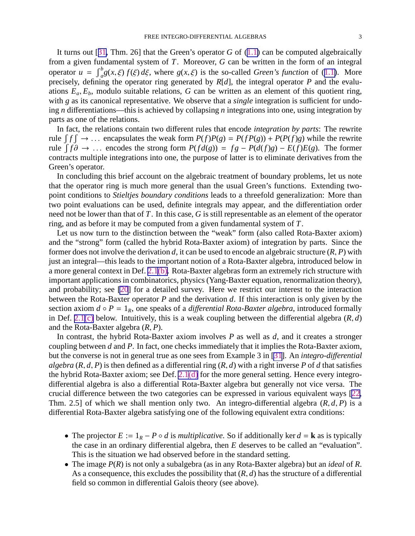<span id="page-3-0"></span>It turns out [[31,](#page-30-0) Thm. 26] that the Green's operator *G* of ([1.1\)](#page-1-0) can be computed algebraically from a given fundamental system of *T*. Moreover, *G* can be written in the form of an integral operator  $u = \int_a^b g(x,\xi) f(\xi) d\xi$ , where  $g(x,\xi)$  is the so-called *Green's function* of ([1.1\)](#page-1-0). More precisely, defining the operator ring generated by *R*[*d*], the integral operator *P* and the evaluations  $E_a$ ,  $E_b$ , modulo suitable relations, *G* can be written as an element of this quotient ring, with *g* as its canonical representative. We observe that a *single* integration is sufficient for undoing *n* differentiations—this is achieved by collapsing *n* integrations into one, using integration by parts as one of the relations.

In fact, the relations contain two different rules that encode *integration by parts*: The rewrite rule  $\int f \int \rightarrow \dots$  encapsulates the weak form  $P(f)P(g) = P(fP(g)) + P(P(f)g)$  while the rewrite *f*  $f \partial \rightarrow \dots$  encodes the strong form  $P(f d(g)) = fg - P(d(f)g) - E(f)E(g)$ . The former contracts multiple integrations into one, the purpose of latter is to eliminate derivatives from the Green's operator.

In concluding this brief account on the algebraic treatment of boundary problems, let us note that the operator ring is much more general than the usual Green's functions. Extending twopoint conditions to *Stieltjes boundary conditions* leads to a threefold generalization: More than two point evaluations can be used, definite integrals may appear, and the differentiation order need not be lower than that of *T*. In this case, *G* is still representable as an element of the operator ring, and as before it may be computed from a given fundamental system of *T*.

Let us now turn to the distinction between the "weak" form (also called Rota-Baxter axiom) and the "strong" form (called the hybrid Rota-Baxter axiom) of integration by parts. Since the former does not involve the derivation *d*, it can be used to encode an algebraic structure (*R*, *P*) with just an integral—this leads to the important notion of a Rota-Baxter algebra, introduced below in a more general context in Def. [2.1\(b\).](#page-5-0) Rota-Baxter algebras form an extremely rich structure with important applications in combinatorics, physics (Yang-Baxter equation, renormalization theory), and probability; see [\[20](#page-29-0)] for a detailed survey. Here we restrict our interest to the interaction between the Rota-Baxter operator *P* and the derivation *d*. If this interaction is only given by the section axiom  $d \circ P = 1_R$ , one speaks of a *differential Rota-Baxter algebra*, introduced formally in Def. [2.1\(c\)](#page-5-0) below. Intuitively, this is a weak coupling between the differential algebra (*R*, *d*) and the Rota-Baxter algebra (*R*, *P*).

In contrast, the hybrid Rota-Baxter axiom involves *P* as well as *d*, and it creates a stronger coupling between *d* and *P*. In fact, one checks immediately that it implies the Rota-Baxter axiom, but the converse is not in general true as one sees from Example 3 in [\[31](#page-30-0)]. An *integro-di*ff*erential algebra*  $(R, d, P)$  is then defined as a differential ring  $(R, d)$  with a right inverse P of *d* that satisfies the hybrid Rota-Baxter axiom; see Def.  $2.1(d)$  for the more general setting. Hence every integrodifferential algebra is also a differential Rota-Baxter algebra but generally not vice versa. The crucial difference between the two categories can be expressed in various equivalent ways [\[22](#page-29-0), Thm. 2.5] of which we shall mention only two. An integro-differential algebra (*R*, *d*, *P*) is a differential Rota-Baxter algebra satisfying one of the following equivalent extra conditions:

- The projector  $E := 1_R P \circ d$  is *multiplicative*. So if additionally ker  $d = \mathbf{k}$  as is typically the case in an ordinary differential algebra, then *E* deserves to be called an "evaluation". This is the situation we had observed before in the standard setting.
- The image *P*(*R*) is not only a subalgebra (as in any Rota-Baxter algebra) but an *ideal* of *R*. As a consequence, this excludes the possibility that (*R*, *d*) has the structure of a differential field so common in differential Galois theory (see above).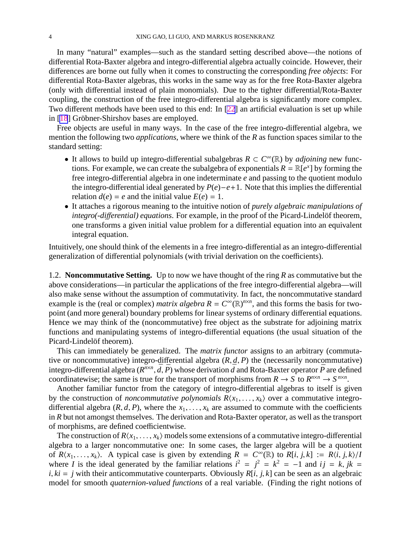<span id="page-4-0"></span>In many "natural" examples—such as the standard setting described above—the notions of differential Rota-Baxter algebra and integro-differential algebra actually coincide. However, their differences are borne out fully when it comes to constructing the corresponding *free objects*: For differential Rota-Baxter algebras, this works in the same way as for the free Rota-Baxter algebra (only with differential instead of plain monomials). Due to the tighter differential/Rota-Baxter coupling, the construction of the free integro-differential algebra is significantly more complex. Two different methods have been used to this end: In [\[22](#page-29-0)] an artificial evaluation is set up while in  $[18]$  $[18]$  Gröbner-Shirshov bases are employed.

Free objects are useful in many ways. In the case of the free integro-differential algebra, we mention the following two *applications*, where we think of the *R* as function spaces similar to the standard setting:

- It allows to build up integro-differential subalgebras *R* ⊂ *C* <sup>∞</sup>(R) by *adjoining* new functions. For example, we can create the subalgebra of exponentials  $R = \mathbb{R}[e^x]$  by forming the free integro-differential algebra in one indeterminate *e* and passing to the quotient modulo the integro-differential ideal generated by *P*(*e*)−*e*+1. Note that this implies the differential relation  $d(e) = e$  and the initial value  $E(e) = 1$ .
- It attaches a rigorous meaning to the intuitive notion of *purely algebraic manipulations of integro(-differential) equations.* For example, in the proof of the Picard-Lindelöf theorem, one transforms a given initial value problem for a differential equation into an equivalent integral equation.

Intuitively, one should think of the elements in a free integro-differential as an integro-differential generalization of differential polynomials (with trivial derivation on the coefficients).

1.2. **Noncommutative Setting.** Up to now we have thought of the ring *R* as commutative but the above considerations—in particular the applications of the free integro-differential algebra—will also make sense without the assumption of commutativity. In fact, the noncommutative standard example is the (real or complex) *matrix algebra*  $R = C^{\infty}(\mathbb{R})^{n \times n}$ , and this forms the basis for twopoint (and more general) boundary problems for linear systems of ordinary differential equations. Hence we may think of the (noncommutative) free object as the substrate for adjoining matrix functions and manipulating systems of integro-differential equations (the usual situation of the Picard-Lindelöf theorem).

This can immediately be generalized. The *matrix functor* assigns to an arbitrary (commutative or noncommutative) integro-differential algebra (*R*, *d*, *P*) the (necessarily noncommutative) integro-differential algebra ( $R^{n \times n}$ ,  $\bar{d}$ ,  $\bar{P}$ ) whose derivation  $\bar{d}$  and Rota-Baxter operator  $\bar{P}$  are defined coordinatewise; the same is true for the transport of morphisms from  $R \to S$  to  $R^{n \times n} \to S^{n \times n}$ .

Another familiar functor from the category of integro-differential algebras to itself is given by the construction of *noncommutative polynomials*  $R\langle x_1, \ldots, x_k \rangle$  over a commutative integrodifferential algebra  $(R, d, P)$ , where the  $x_1, \ldots, x_k$  are assumed to commute with the coefficients in *R* but not amongst themselves. The derivation and Rota-Baxter operator, as well as the transport of morphisms, are defined coefficientwise.

The construction of  $R\langle x_1, \ldots, x_k \rangle$  models some extensions of a commutative integro-differential algebra to a larger noncommutative one: In some cases, the larger algebra will be a quotient of  $R\langle x_1, \ldots, x_k \rangle$ . A typical case is given by extending  $R = C^{\infty}(\mathbb{R})$  to  $R[i, j, k] := R\langle i, j, k \rangle /I$ where *I* is the ideal generated by the familiar relations  $i^2 = j^2 = k^2 = -1$  and  $ij = k, jk = 1$  $i, ki = j$  with their anticommutative counterparts. Obviously  $R[i, j, k]$  can be seen as an algebraic model for smooth *quaternion-valued functions* of a real variable. (Finding the right notions of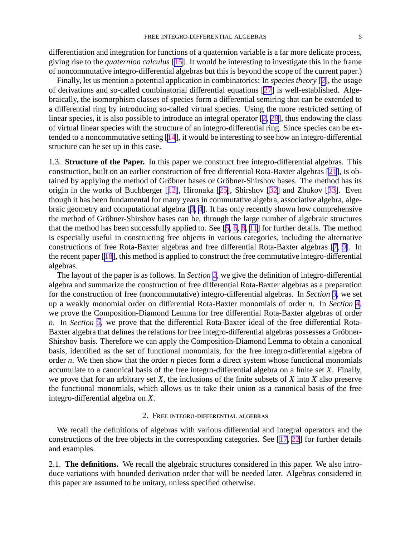<span id="page-5-0"></span>differentiation and integration for functions of a quaternion variable is a far more delicate process, giving rise to the *quaternion calculus* [\[15](#page-29-0)]. It would be interesting to investigate this in the frame of noncommutative integro-differential algebras but this is beyond the scope of the current paper.)

Finally, let us mention a potential application in combinatorics: In *species theory* [[2\]](#page-29-0), the usage of derivations and so-called combinatorial differential equations [\[27](#page-30-0)] is well-established. Algebraically, the isomorphism classes of species form a differential semiring that can be extended to a differential ring by introducing so-called virtual species. Using the more restricted setting of linear species, it is also possible to introduce an integral operator [\[2](#page-29-0), [28](#page-30-0)], thus endowing the class of virtual linear species with the structure of an integro-differential ring. Since species can be extended to a noncommutative setting [\[14](#page-29-0)], it would be interesting to see how an integro-differential structure can be set up in this case.

1.3. **Structure of the Paper.** In this paper we construct free integro-differential algebras. This construction, built on an earlier construction of free differential Rota-Baxter algebras [\[21](#page-29-0)], is obtained by applying the method of Gröbner bases or Gröbner-Shirshov bases. The method has its origin in the works of Buchberger [[12\]](#page-29-0), Hironaka [[25\]](#page-29-0), Shirshov [\[32](#page-30-0)] and Zhukov [[33\]](#page-30-0). Even though it has been fundamental for many years in commutative algebra, associative algebra, algebraic geometry and computational algebra [\[3](#page-29-0), [4](#page-29-0)]. It has only recently shown how comprehensive the method of Gröbner-Shirshov bases can be, through the large number of algebraic structures that the method has been successfully applied to. See [[5,](#page-29-0) [6](#page-29-0), [8](#page-29-0), [11\]](#page-29-0) for further details. The method is especially useful in constructing free objects in various categories, including the alternative constructions of free Rota-Baxter algebras and free differential Rota-Baxter algebras [[7,](#page-29-0) [9\]](#page-29-0). In the recent paper [\[18](#page-29-0)], this method is applied to construct the free commutative integro-differential algebras.

The layout of the paper is as follows. In *Section [2](#page-4-0)*, we give the definition of integro-differential algebra and summarize the construction of free differential Rota-Baxter algebras as a preparation for the construction of free (noncommutative) integro-differential algebras. In *Section [3](#page-9-0)*, we set up a weakly monomial order on differential Rota-Baxter monomials of order *n*. In *Section [4](#page-12-0)*, we prove the Composition-Diamond Lemma for free differential Rota-Baxter algebras of order *n*. In *Section [5](#page-19-0)*, we prove that the differential Rota-Baxter ideal of the free differential Rota-Baxter algebra that defines the relations for free integro-differential algebras possesses a Gröbner-Shirshov basis. Therefore we can apply the Composition-Diamond Lemma to obtain a canonical basis, identified as the set of functional monomials, for the free integro-differential algebra of order *n*. We then show that the order *n* pieces form a direct system whose functional monomials accumulate to a canonical basis of the free integro-differential algebra on a finite set *X*. Finally, we prove that for an arbitrary set *X*, the inclusions of the finite subsets of *X* into *X* also preserve the functional monomials, which allows us to take their union as a canonical basis of the free integro-differential algebra on *X*.

#### 2. Free integro-differential algebras

We recall the definitions of algebras with various differential and integral operators and the constructions of the free objects in the corresponding categories. See [\[17](#page-29-0), [22](#page-29-0)] for further details and examples.

2.1. **The definitions.** We recall the algebraic structures considered in this paper. We also introduce variations with bounded derivation order that will be needed later. Algebras considered in this paper are assumed to be unitary, unless specified otherwise.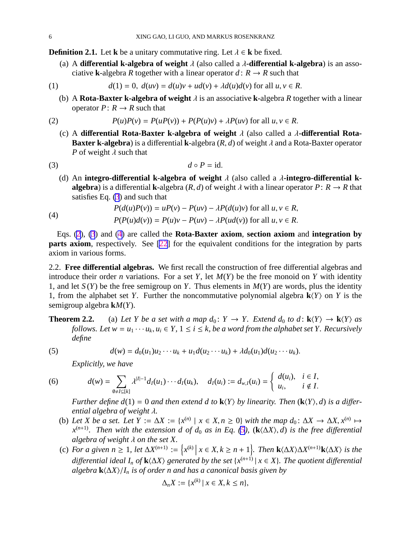<span id="page-6-0"></span>**Definition 2.1.** Let **k** be a unitary commutative ring. Let  $\lambda \in \mathbf{k}$  be fixed.

(a) A **di**ff**erential k-algebra of weight** λ (also called a λ**-di**ff**erential k-algebra**) is an associative **k**-algebra *R* together with a linear operator  $d: R \rightarrow R$  such that

(1) 
$$
d(1) = 0, d(uv) = d(u)v + ud(v) + \lambda d(u)d(v) \text{ for all } u, v \in R.
$$

(b) A **Rota-Baxter k-algebra of weight** λ is an associative **k**-algebra *R* together with a linear operator  $P: R \to R$  such that

(2) 
$$
P(u)P(v) = P(uP(v)) + P(P(u)v) + \lambda P(uv) \text{ for all } u, v \in R.
$$

(c) A **di**ff**erential Rota-Baxter k-algebra of weight** λ (also called a λ**-di**ff**erential Rota-Baxter k-algebra**) is a differential **k**-algebra  $(R, d)$  of weight  $\lambda$  and a Rota-Baxter operator *P* of weight  $\lambda$  such that

$$
(3) \t\t d \circ P = id.
$$

(d) An **integro-di**ff**erential k-algebra of weight** λ (also called a λ**-integro-di**ff**erential kalgebra**) is a differential **k**-algebra  $(R, d)$  of weight  $\lambda$  with a linear operator  $P: R \to R$  that satisfies Eq.  $(3)$  $(3)$  and such that

(4) 
$$
P(d(u)P(v)) = uP(v) - P(uv) - \lambda P(d(u)v) \text{ for all } u, v \in R,
$$

$$
P(P(u)d(v)) = P(u)v - P(uv) - \lambda P(ud(v)) \text{ for all } u, v \in R.
$$

Eqs. [\(2](#page-5-0)), [\(3](#page-5-0)) and [\(4](#page-5-0)) are called the **Rota-Baxter axiom**, **section axiom** and **integration by parts axiom**, respectively. See [\[22](#page-29-0)] for the equivalent conditions for the integration by parts axiom in various forms.

2.2. **Free di**ff**erential algebras.** We first recall the construction of free differential algebras and introduce their order *n* variations. For a set *Y*, let  $M(Y)$  be the free monoid on *Y* with identity 1, and let  $S(Y)$  be the free semigroup on *Y*. Thus elements in  $M(Y)$  are words, plus the identity 1, from the alphabet set *Y*. Further the noncommutative polynomial algebra  $\mathbf{k}\langle Y\rangle$  on *Y* is the semigroup algebra **k***M*(*Y*).

**Theorem 2.2.** (a) Let Y be a set with a map  $d_0: Y \to Y$ . Extend  $d_0$  to  $d: \mathbf{k}\langle Y \rangle \to \mathbf{k}\langle Y \rangle$  as *follows. Let*  $w = u_1 \cdots u_k, u_i \in Y$ ,  $1 \le i \le k$ , be a word from the alphabet set Y. Recursively *define*

(5) 
$$
d(w) = d_0(u_1)u_2\cdots u_k + u_1 d(u_2\cdots u_k) + \lambda d_0(u_1) d(u_2\cdots u_k).
$$

*Explicitly, we have*

(6) 
$$
d(w) = \sum_{\emptyset \neq I \subseteq [k]} \lambda^{|I|-1} d_I(u_1) \cdots d_I(u_k), \quad d_I(u_i) := d_{w,I}(u_i) = \begin{cases} d(u_i), & i \in I, \\ u_i, & i \notin I. \end{cases}
$$

*Further define d*(1) = 0 *and then extend d to*  $\mathbf{k}\langle Y \rangle$  *by linearity. Then*  $(\mathbf{k}\langle Y \rangle, d)$  *is a differential algebra of weight* λ*.*

- (b) Let *X* be a set. Let  $Y := \Delta X := \{x^{(n)} \mid x \in X, n \ge 0\}$  with the map  $d_0: \Delta X \to \Delta X, x^{(n)} \mapsto$ *x* (*n*+1)*. Then with the extension d of d*<sup>0</sup> *as in Eq. [\(5](#page-5-0)),* (**k**h∆*X*i, *d*) *is the free di*ff*erential algebra of weight* λ *on the set X.*
- (c) For a given  $n \ge 1$ , let  $\Delta X^{(n+1)} := \{x^{(k)} \mid x \in X, k \ge n+1\}$ . Then  $\mathbf{k} \langle \Delta X \rangle \Delta X^{(n+1)} \mathbf{k} \langle \Delta X \rangle$  is the  $d$ *ifferential ideal*  $I_n$  *of*  $\mathbf{k} \langle \Delta X \rangle$  generated by the set { $x^{(n+1)} | x \in X$ }. The quotient differential *algebra*  $\mathbf{k}\langle\Delta X\rangle/\mathbf{I}_n$  *is of order n and has a canonical basis given by*

$$
\Delta_n X := \{x^{(k)} \mid x \in X, k \le n\},\
$$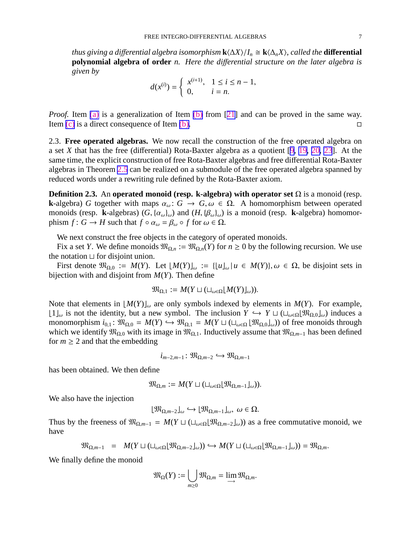<span id="page-7-0"></span>*thus giving a differential algebra isomorphism*  $\mathbf{k}\langle\Delta X\rangle/I_n \cong \mathbf{k}\langle\Delta_nX\rangle$ *, called the differential* **polynomial algebra of order** *n. Here the di*ff*erential structure on the later algebra is given by*

$$
d(x^{(i)}) = \begin{cases} x^{(i+1)}, & 1 \le i \le n-1, \\ 0, & i = n. \end{cases}
$$

*Proof.* Item [\(a\)](#page-5-0) is a generalization of Item [\(b\)](#page-5-0) from [[21\]](#page-29-0) and can be proved in the same way. Item  $(c)$  is a direct consequence of Item  $(b)$ .

2.3. **Free operated algebras.** We now recall the construction of the free operated algebra on a set *X* that has the free (differential) Rota-Baxter algebra as a quotient [\[9](#page-29-0), [19,](#page-29-0) [20,](#page-29-0) [23](#page-29-0)]. At the same time, the explicit construction of free Rota-Baxter algebras and free differential Rota-Baxter algebras in Theorem [2.5](#page-8-0) can be realized on a submodule of the free operated algebra spanned by reduced words under a rewriting rule defined by the Rota-Baxter axiom.

**Definition 2.3.** An **operated monoid (resp. k-algebra) with operator set**  $\Omega$  is a monoid (resp. **k**-algebra) *G* together with maps  $\alpha_{\omega}$ :  $G \rightarrow G, \omega \in \Omega$ . A homomorphism between operated monoids (resp. **k**-algebras)  $(G, {\alpha_\omega}_\omega)$  and  $(H, {\beta_\omega}_\omega)$  is a monoid (resp. **k**-algebra) homomorphism  $f: G \to H$  such that  $f \circ \alpha_{\omega} = \beta_{\omega} \circ f$  for  $\omega \in \Omega$ .

We next construct the free objects in the category of operated monoids.

Fix a set *Y*. We define monoids  $\mathfrak{M}_{\Omega,n} := \mathfrak{M}_{\Omega,n}(Y)$  for  $n \geq 0$  by the following recursion. We use the notation ⊔ for disjoint union.

First denote  $\mathfrak{M}_{\Omega,0} := M(Y)$ . Let  $[M(Y)]_{\omega} := \{ [u]_{\omega} | u \in M(Y) \}$ ,  $\omega \in \Omega$ , be disjoint sets in bijection with and disjoint from *M*(*Y*). Then define

$$
\mathfrak{M}_{\Omega,1} := M(Y \sqcup (\sqcup_{\omega \in \Omega} [M(Y)]_{\omega})).
$$

Note that elements in  $[M(Y)]_{\omega}$  are only symbols indexed by elements in  $M(Y)$ . For example,  $\lfloor 1 \rfloor_{\omega}$  is not the identity, but a new symbol. The inclusion *Y* → *Y*  $\sqcup$  ( $\sqcup_{\omega \in \Omega}$ [ $\mathfrak{M}_{\Omega,0}$ ]<sub>ω</sub>) induces a monomorphism  $i_{0,1}$ :  $\mathfrak{M}_{\Omega,0} = M(Y) \hookrightarrow \mathfrak{M}_{\Omega,1} = M(Y \sqcup (\sqcup_{\omega \in \Omega} [\mathfrak{M}_{\Omega,0}]_{\omega}))$  of free monoids through which we identify  $\mathfrak{M}_{\Omega,0}$  with its image in  $\mathfrak{M}_{\Omega,1}$ . Inductively assume that  $\mathfrak{M}_{\Omega,m-1}$  has been defined for  $m \geq 2$  and that the embedding

$$
i_{m-2,m-1} : \mathfrak{M}_{\Omega,m-2} \hookrightarrow \mathfrak{M}_{\Omega,m-1}
$$

has been obtained. We then define

$$
\mathfrak{M}_{\Omega,m}:=M(Y\sqcup(\sqcup_{\omega\in\Omega}[\mathfrak{M}_{\Omega,m-1}]_{\omega})).
$$

We also have the injection

$$
\lfloor \mathfrak{M}_{\Omega,m-2} \rfloor_{\omega} \hookrightarrow \lfloor \mathfrak{M}_{\Omega,m-1} \rfloor_{\omega}, \ \omega \in \Omega.
$$

Thus by the freeness of  $\mathfrak{M}_{\Omega,m-1} = M(Y \sqcup (\sqcup_{\omega \in \Omega}[\mathfrak{M}_{\Omega,m-2}]_{\omega}))$  as a free commutative monoid, we have

$$
\mathfrak{M}_{\Omega,m-1} = M(Y \sqcup (\sqcup_{\omega \in \Omega} [\mathfrak{M}_{\Omega,m-2}]_{\omega})) \hookrightarrow M(Y \sqcup (\sqcup_{\omega \in \Omega} [\mathfrak{M}_{\Omega,m-1}]_{\omega})) = \mathfrak{M}_{\Omega,m}.
$$

We finally define the monoid

$$
\mathfrak{M}_{\Omega}(Y) := \bigcup_{m \geq 0} \mathfrak{M}_{\Omega,m} = \lim_{m \to \infty} \mathfrak{M}_{\Omega,m}.
$$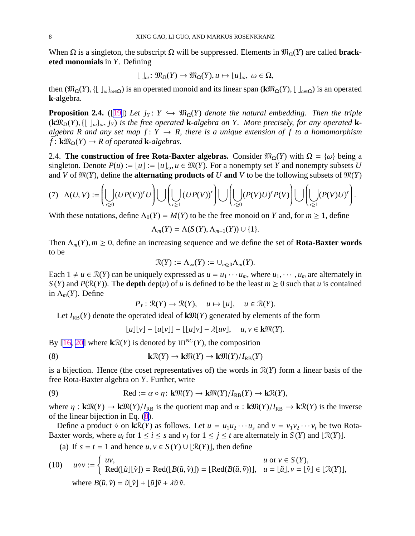<span id="page-8-0"></span>When  $\Omega$  is a singleton, the subscript  $\Omega$  will be suppressed. Elements in  $\mathfrak{M}_{\Omega}(Y)$  are called **bracketed monomials** in *Y*. Defining

$$
L \rvert_{\omega}: \mathfrak{M}_{\Omega}(Y) \to \mathfrak{M}_{\Omega}(Y), u \mapsto \lvert u \rvert_{\omega}, \ \omega \in \Omega,
$$

then  $(\mathfrak{M}_{\Omega}(Y), \{\}\_\omega)_{\omega\in\Omega})$  is an operated monoid and its linear span  $(\mathbf{k}\mathfrak{M}_{\Omega}(Y), \[\,\,\,\,\,\,\,\,\,\,\omega\in\Omega)$  is an operated **k**-algebra.

**Proposition 2.4.** ([\[19](#page-29-0)]) Let  $j_Y: Y \hookrightarrow \mathfrak{M}_{\Omega}(Y)$  denote the natural embedding. Then the triple  $(\mathbf{k}\mathfrak{M}_{\Omega}(Y), \{\lfloor \int_{\omega}\rbrace_{\omega}, j_Y\}$  is the free operated **k**-algebra on Y. More precisely, for any operated **k***algebra R and any set map f* :  $Y \rightarrow R$ , there is a unique extension of f to a homomorphism  $\bar{f}$ :  $\mathbf{k} \mathfrak{M}_{\Omega}(Y) \rightarrow R$  of operated **k**-algebras.

2.4. **The construction of free Rota-Baxter algebras.** Consider  $\mathfrak{M}_{\Omega}(Y)$  with  $\Omega = {\omega}$  being a singleton. Denote  $P(u) := |u| := |u|_{\omega}$ ,  $u \in \mathfrak{M}(Y)$ . For a nonempty set Y and nonempty subsets U and *V* of  $\mathfrak{M}(Y)$ , define the **alternating products of** *U* and *V* to be the following subsets of  $\mathfrak{M}(Y)$ 

$$
(7) \quad \Lambda(U,V):=\left(\bigcup_{r\geq 0} (UP(V))^rU\right)\bigcup\left(\bigcup_{r\geq 1} \left(UP(V)\right)^r\right)\bigcup\left(\bigcup_{r\geq 0} (P(V)U)^rP(V)\right)\bigcup\left(\bigcup_{r\geq 1} (P(V)U)^r\right).
$$

With these notations, define  $\Lambda_0(Y) = M(Y)$  to be the free monoid on *Y* and, for  $m \ge 1$ , define

$$
\Lambda_m(Y) = \Lambda(S(Y), \Lambda_{m-1}(Y)) \cup \{1\}.
$$

Then  $\Lambda_m(Y)$ ,  $m \geq 0$ , define an increasing sequence and we define the set of **Rota-Baxter words** to be

$$
\mathcal{R}(Y) := \Lambda_\infty(Y) := \cup_{m \geq 0} \Lambda_m(Y).
$$

Each  $1 \neq u \in \mathcal{R}(Y)$  can be uniquely expressed as  $u = u_1 \cdots u_m$ , where  $u_1, \cdots, u_m$  are alternately in *S*(*Y*) and *P*( $\mathcal{R}(Y)$ ). The **depth** dep(*u*) of *u* is defined to be the least  $m \ge 0$  such that *u* is contained in  $\Lambda_m(Y)$ . Define

$$
P_Y: \mathcal{R}(Y) \to \mathcal{R}(Y), \quad u \mapsto [u], \quad u \in \mathcal{R}(Y).
$$

Let  $I_{RB}(Y)$  denote the operated ideal of  $k\mathfrak{M}(Y)$  generated by elements of the form

$$
\lfloor u \rfloor \lfloor v \rfloor - \lfloor u \lfloor v \rfloor \rfloor - \lfloor \lfloor u \rfloor v \rfloor - \lambda \lfloor uv \rfloor, \quad u, v \in \mathbf{k} \mathfrak{M}(Y).
$$

By [[16,](#page-29-0) [20\]](#page-29-0) where  $k\mathcal{R}(Y)$  is denoted by  $III^{NC}(Y)$ , the composition

(8) 
$$
\mathbf{k} \mathcal{R}(Y) \to \mathbf{k} \mathfrak{M}(Y) \to \mathbf{k} \mathfrak{M}(Y) / I_{\rm RB}(Y)
$$

is a bijection. Hence (the coset representatives of) the words in R(*Y*) form a linear basis of the free Rota-Baxter algebra on *Y*. Further, write

(9) 
$$
\text{Red} := \alpha \circ \eta: \mathbf{k} \mathfrak{M}(Y) \to \mathbf{k} \mathfrak{M}(Y) / I_{\text{RB}}(Y) \to \mathbf{k} \mathfrak{R}(Y),
$$

where  $\eta$ :  $\mathbf{k} \mathfrak{M}(Y) \to \mathbf{k} \mathfrak{M}(Y)/I_{RB}$  is the quotient map and  $\alpha$ :  $\mathbf{k} \mathfrak{M}(Y)/I_{RB} \to \mathbf{k} \mathfrak{R}(Y)$  is the inverse of the linear bijection in Eq. [\(8](#page-7-0)).

Define a product  $\diamond$  on  $k\mathcal{R}(Y)$  as follows. Let  $u = u_1u_2\cdots u_s$  and  $v = v_1v_2\cdots v_t$  be two Rota-Baxter words, where  $u_i$  for  $1 \le i \le s$  and  $v_j$  for  $1 \le j \le t$  are alternately in  $S(Y)$  and  $[\mathcal{R}(Y)]$ .

(a) If  $s = t = 1$  and hence  $u, v \in S(Y) \cup |\mathcal{R}(Y)|$ , then define

(10) 
$$
u \diamond v := \begin{cases} uv, & u \text{ or } v \in S(Y), \\ \text{Red}([\tilde{u}][\tilde{v}]) = \text{Red}([B(\tilde{u}, \tilde{v})]) = [\text{Red}(B(\tilde{u}, \tilde{v}))], & u = [\tilde{u}], v = [\tilde{v}] \in [\mathcal{R}(Y)], \\ \text{where } B(\tilde{u}, \tilde{v}) = \tilde{u}[\tilde{v}] + [\tilde{u}]\tilde{v} + \lambda \tilde{u} \tilde{v}. \end{cases}
$$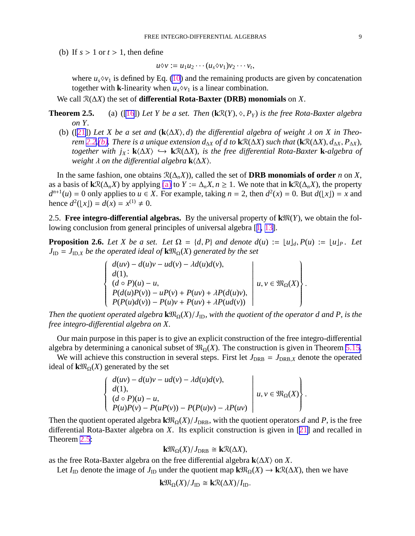<span id="page-9-0"></span>(b) If  $s > 1$  or  $t > 1$ , then define

$$
u\diamond v := u_1u_2\cdots(u_s\diamond v_1)v_2\cdots v_t,
$$

where  $u_s \, \lozenge \, v_1$  is defined by Eq. [\(10](#page-7-0)) and the remaining products are given by concatenation together with **k**-linearity when  $u_s \diamond v_1$  is a linear combination.

We call R(∆*X*) the set of **di**ff**erential Rota-Baxter (DRB) monomials** on *X*.

- **Theorem 2.5.** (a) ([\[16](#page-29-0)]) Let Y be a set. Then  $(kR(Y), \diamond, P_Y)$  is the free Rota-Baxter algebra *on Y.*
	- (b) ([\[21](#page-29-0)]) Let X be a set and  $(k\langle \Delta X \rangle, d)$  the differential algebra of weight  $\lambda$  on X in Theo*rem* 2.2.(*b*)*. There is a unique extension*  $d_{\Delta X}$  *of d to*  $\mathbf{k} \mathcal{R}(\Delta X)$  *such that* ( $\mathbf{k} \mathcal{R}(\Delta X)$ *,*  $d_{\Delta X}$ *,*  $P_{\Delta X}$ *), together with j<sup>X</sup>* : **k**h∆*X*i ֒→ **k**R(∆*X*)*, is the free di*ff*erential Rota-Baxter* **k***-algebra of weight*  $\lambda$  *on the differential algebra*  $\mathbf{k}$  $\langle \Delta X \rangle$ *.*

In the same fashion, one obtains  $\mathcal{R}(\Delta_n X)$ , called the set of **DRB monomials of order** *n* on *X*, as a basis of  $k\mathcal{R}(\Delta_n X)$  by applying [\(a\)](#page-8-0) to  $Y := \Delta_n X, n \ge 1$ . We note that in  $k\mathcal{R}(\Delta_n X)$ , the property  $d^{n+1}(u) = 0$  only applies to  $u \in X$ . For example, taking  $n = 2$ , then  $d^2(x) = 0$ . But  $d(\lfloor x \rfloor) = x$  and hence  $d^2(\lfloor x \rfloor) = d(x) = x^{(1)} \neq 0$ .

2.5. **Free integro-differential algebras.** By the universal property of  $k\mathfrak{M}(Y)$ , we obtain the following conclusion from general principles of universal algebra [[1,](#page-29-0) [13\]](#page-29-0).

**Proposition 2.6.** *Let X be a set. Let*  $\Omega = \{d, P\}$  *and denote*  $d(u) := \lfloor u \rfloor_d$ ,  $P(u) := \lfloor u \rfloor_P$ . *Let*  $J_{\text{ID}} = J_{\text{ID},X}$  *be the operated ideal of*  $\mathbf{k} \mathfrak{M}_{\Omega}(X)$  *generated by the set* 

> $\int d(uv) - d(u)v - ud(v) - \lambda d(u)d(v),$  $\left\{\right\}$  $\begin{array}{c} \hline \end{array}$ *d*(1),  $(d ∘ P)(u) - u,$  $P(d(u)P(v)) - uP(v) + P(uv) + \lambda P(d(u)v),$  $P(P(u)d(v)) - P(u)v + P(uv) + \lambda P(ud(v))$   $u, v \in \mathfrak{M}_{\Omega}(X)$  $\mathcal{I}$  $\left\{\right.$  $\begin{array}{c} \hline \end{array}$ .

*Then the quotient operated algebra*  $\mathbf{k} \mathfrak{M}_{\Omega}(X)/J_{\text{ID}}$ *, with the quotient of the operator d and P, is the free integro-di*ff*erential algebra on X.*

Our main purpose in this paper is to give an explicit construction of the free integro-differential algebra by determining a canonical subset of  $\mathfrak{M}_{\Omega}(X)$ . The construction is given in Theorem [5.15](#page-28-0).

We will achieve this construction in several steps. First let  $J_{DRB} = J_{DRB,X}$  denote the operated ideal of  $k\mathfrak{M}_{\Omega}(X)$  generated by the set

$$
\begin{cases}\n d(uv) - d(u)v - ud(v) - \lambda d(u)d(v), \\
d(1), \\
(d \circ P)(u) - u, \\
P(u)P(v) - P(uP(v)) - P(P(u)v) - \lambda P(uv)\n\end{cases} u, v \in \mathfrak{M}_{\Omega}(X)
$$

.

Then the quotient operated algebra  $\mathbf{k} \mathfrak{M}_{\Omega}(X)/J_{\text{DRB}}$ , with the quotient operators *d* and *P*, is the free differential Rota-Baxter algebra on *X*. Its explicit construction is given in [[21\]](#page-29-0) and recalled in Theorem [2.5](#page-8-0):

$$
\mathbf{k} \mathfrak{M}_{\Omega}(X)/J_{\text{DRB}} \cong \mathbf{k} \mathcal{R}(\Delta X),
$$

as the free Rota-Baxter algebra on the free differential algebra  $\mathbf{k}$  $\langle \Delta X \rangle$  on *X*.

Let *I*<sub>ID</sub> denote the image of *J*<sub>ID</sub> under the quotient map  $k\mathfrak{M}_{\Omega}(X) \to k\mathfrak{R}(\Delta X)$ , then we have

$$
\mathbf{k} \mathfrak{M}_{\Omega}(X)/J_{\mathrm{ID}} \cong \mathbf{k} \mathcal{R}(\Delta X)/I_{\mathrm{ID}}.
$$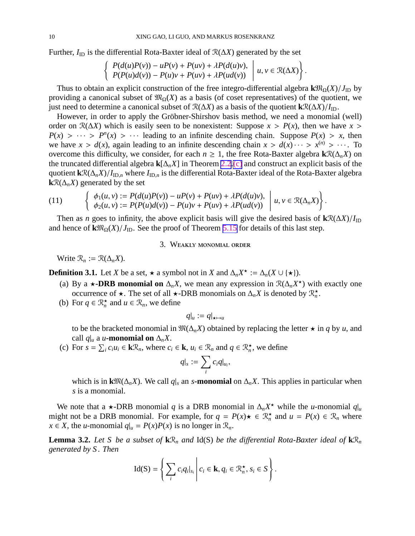<span id="page-10-0"></span>Further, *I*ID is the differential Rota-Baxter ideal of R(∆*X*) generated by the set

$$
\left\{\n \begin{array}{l}\n P(d(u)P(v)) - uP(v) + P(uv) + \lambda P(d(u)v), \\
P(P(u)d(v)) - P(u)v + P(uv) + \lambda P(ud(v))\n \end{array}\n \middle| \ u, v \in \mathcal{R}(\Delta X)\n \right\}.
$$

Thus to obtain an explicit construction of the free integro-differential algebra  $\mathbf{k} \mathfrak{M}_{\Omega}(X)/J_{\text{ID}}$  by providing a canonical subset of  $\mathfrak{M}_{\Omega}(X)$  as a basis (of coset representatives) of the quotient, we just need to determine a canonical subset of R(∆*X*) as a basis of the quotient **k**R(∆*X*)/*I*ID.

However, in order to apply the Gröbner-Shirshov basis method, we need a monomial (well) order on  $\mathcal{R}(\Delta X)$  which is easily seen to be nonexistent: Suppose  $x > P(x)$ , then we have  $x >$  $P(x) > \cdots > P^{n}(x) > \cdots$  leading to an infinite descending chain. Suppose  $P(x) > x$ , then we have  $x > d(x)$ , again leading to an infinite descending chain  $x > d(x) \cdots > x^{(n)} > \cdots$ . To overcome this difficulty, we consider, for each  $n \geq 1$ , the free Rota-Baxter algebra  $\mathbf{k}\mathcal{R}(\Delta_n X)$  on the truncated differential algebra **k**[∆*nX*] in Theorem [2.2.\(c\)](#page-5-0) and construct an explicit basis of the quotient  $k\mathcal{R}(\Delta_n X)/I_{\text{ID},n}$  where  $I_{\text{ID},n}$  is the differential Rota-Baxter ideal of the Rota-Baxter algebra **k** $\mathcal{R}(\Delta_n X)$  generated by the set

(11) 
$$
\left\{\begin{array}{l}\phi_1(u,v) := P(d(u)P(v)) - uP(v) + P(uv) + \lambda P(d(u)v),\\ \phi_2(u,v) := P(P(u)d(v)) - P(u)v + P(uv) + \lambda P(ud(v))\end{array}\middle| u, v \in \mathcal{R}(\Delta_n X)\right\}.
$$

Then as *n* goes to infinity, the above explicit basis will give the desired basis of  $\mathbf{k} \mathcal{R}(\Delta X)/I_{\text{ID}}$ and hence of  $\mathbf{k} \mathfrak{M}_{\Omega}(X)/J_{\text{ID}}$ . See the proof of Theorem [5.15](#page-28-0) for details of this last step.

#### 3. Weakly monomial order

Write  $\mathcal{R}_n := \mathcal{R}(\Delta_n X)$ .

**Definition 3.1.** Let *X* be a set,  $\star$  a symbol not in *X* and  $\Delta_n X^{\star} := \Delta_n(X \cup {\star}).$ 

- (a) By a **★-DRB monomial on**  $\Delta_n X$ , we mean any expression in  $\mathcal{R}(\Delta_n X^*)$  with exactly one occurrence of  $\star$ . The set of all  $\star$ -DRB monomials on  $\Delta_n X$  is denoted by  $\mathcal{R}_n^{\star}$ .
- (b) For  $q \in \mathbb{R}_n^*$  and  $u \in \mathbb{R}_n$ , we define

$$
q|_u := q|_{\star \mapsto u}
$$

to be the bracketed monomial in  $\mathfrak{M}(\Delta_n X)$  obtained by replacing the letter  $\star$  in *q* by *u*, and call  $q|_u$  a *u***-monomial on**  $\Delta_n X$ .

(c) For  $s = \sum_i c_i u_i \in k\mathcal{R}_n$ , where  $c_i \in k$ ,  $u_i \in \mathcal{R}_n$  and  $q \in \mathcal{R}_n^*$ , we define

$$
q|_s := \sum_i c_i q|_{u_i},
$$

which is in  $\mathbf{k}\mathfrak{M}(\Delta_n X)$ . We call  $q|_s$  an *s***-monomial** on  $\Delta_n X$ . This applies in particular when *s* is a monomial.

We note that a  $\star$ -DRB monomial *q* is a DRB monomial in  $\Delta_n X^*$  while the *u*-monomial  $q|_u$ might not be a DRB monomial. For example, for  $q = P(x) \star \in \mathbb{R}_n^*$  and  $u = P(x) \in \mathbb{R}_n$  where *x* ∈ *X*, the *u*-monomial  $q|_u = P(x)P(x)$  is no longer in  $\mathcal{R}_n$ .

**Lemma 3.2.** Let S be a subset of  $\mathbf{k} \mathcal{R}_n$  and Id(S) be the differential Rota-Baxter ideal of  $\mathbf{k} \mathcal{R}_n$ *generated by S . Then*

$$
\mathrm{Id}(\mathrm{S})=\left\{\sum_{i}c_{i}q_{i}|_{s_{i}}\,\middle|\, c_{i}\in\mathrm{I\!K},q_{i}\in\mathfrak{R}_{n}^{\star},s_{i}\in\mathrm{S}\right\}.
$$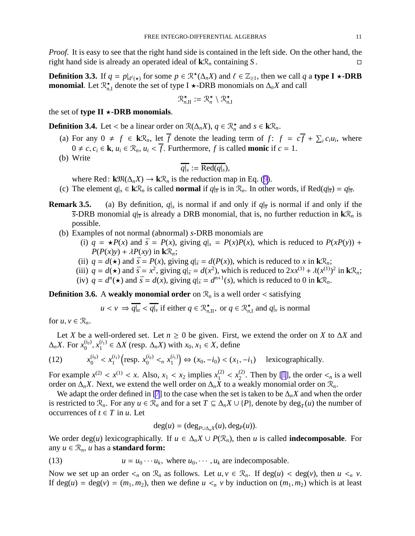<span id="page-11-0"></span>*Proof.* It is easy to see that the right hand side is contained in the left side. On the other hand, the right hand side is already an operated ideal of  $k\mathcal{R}_n$  containing *S*.

**Definition 3.3.** If  $q = p|_{d^{\ell}(\star)}$  for some  $p \in \mathbb{R}^{\star}(\Delta_n X)$  and  $\ell \in \mathbb{Z}_{\geq 1}$ , then we call  $q$  a **type I**  $\star$ -**DRB monomial**. Let  $\mathbb{R}_{n,1}^{\star}$  denote the set of type I  $\star$ -DRB monomials on  $\Delta_n X$  and call

$$
\mathcal{R}_{n,\mathrm{II}}^\star := \mathcal{R}_n^\star \setminus \mathcal{R}_{n,\mathrm{I}}^\star
$$

the set of **type II**  $\star$ **-DRB** monomials.

**Definition 3.4.** Let < be a linear order on  $\mathcal{R}(\Delta_n X)$ ,  $q \in \mathcal{R}^{\star}_n$  and  $s \in k\mathcal{R}_n$ .

- (a) For any  $0 \neq f \in k\mathcal{R}_n$ , let  $\overline{f}$  denote the leading term of  $f: f = c\overline{f} + \sum_i c_i u_i$ , where  $0 \neq c, c_i \in \mathbf{k}, u_i \in \mathcal{R}_n, u_i \leq \overline{f}$ . Furthermore, f is called **monic** if  $c = 1$ .
- (b) Write

$$
\overline{q|_s} := \overline{\text{Red}(q|_s)},
$$

where Red:  $\mathbf{k} \mathfrak{M}(\Delta_n X) \to \mathbf{k} \mathfrak{R}_n$  is the reduction map in Eq. ([9\)](#page-7-0).

- (c) The element  $q|_s \in \mathbf{k}\mathcal{R}_n$  is called **normal** if  $q|_{\overline{s}}$  is in  $\mathcal{R}_n$ . In other words, if Red $(q|_{\overline{s}}) = q|_{\overline{s}}$ .
- **Remark 3.5.** (a) By definition,  $q|_s$  is normal if and only if  $q|_{\overline{s}}$  is normal if and only if the *s*-DRB monomial  $q|_{\overline{s}}$  is already a DRB monomial, that is, no further reduction in  $\mathbf{k}\mathcal{R}_n$  is possible.
	- (b) Examples of not normal (abnormal) *s*-DRB monomials are
		- (i)  $q = \star P(x)$  and  $\bar{s} = P(x)$ , giving  $q|_{s} = P(x)P(x)$ , which is reduced to  $P(xP(y))$  +  $P(P(x)y) + \lambda P(xy)$  in **k** $\mathcal{R}_n$ ;
		- (ii)  $q = d(\star)$  and  $\bar{s} = P(x)$ , giving  $q|_{\bar{s}} = d(P(x))$ , which is reduced to *x* in  $\mathbf{k} \mathcal{R}_n$ ;
		- (iii)  $q = d(\star)$  and  $\bar{s} = x^2$ , giving  $q|_{\bar{s}} = d(x^2)$ , which is reduced to  $2xx^{(1)} + \lambda(x^{(1)})^2$  in  $\mathbf{k} \mathcal{R}_n$ ;
		- (iv)  $q = d^n(\star)$  and  $\bar{s} = d(x)$ , giving  $q|_{\bar{s}} = d^{n+1}(s)$ , which is reduced to 0 in  $\mathbf{k} \mathcal{R}_n$ .

**Definition 3.6.** A weakly monomial order on  $\mathcal{R}_n$  is a well order < satisfying

$$
u < v \Rightarrow \overline{q|_u} < \overline{q|_v}
$$
 if either  $q \in \mathbb{R}^{\star}_{n,\Pi}$ , or  $q \in \mathbb{R}^{\star}_{n,\Pi}$  and  $q|_v$  is normal

for  $u, v \in \mathcal{R}_n$ .

Let *X* be a well-ordered set. Let  $n \ge 0$  be given. First, we extend the order on *X* to  $\Delta X$  and  $\Delta_n X$ . For  $x_0^{(i_0)}$  $x_0^{(i_0)}, x_1^{(i_1)}$  $\Delta X$  (resp.  $\Delta_n X$ ) with *x*<sub>0</sub>, *x*<sub>1</sub> ∈ *X*, define

(12) 
$$
x_0^{(i_0)} < x_1^{(i_1)} \left( \text{resp. } x_0^{(i_0)} <_{n} x_1^{(i_1)} \right) \Leftrightarrow (x_0, -i_0) < (x_1, -i_1) \quad \text{lexicographically.}
$$

For example  $x^{(2)} < x^{(1)} < x$ . Also,  $x_1 < x_2$  implies  $x_1^{(2)} < x_2^{(2)}$  $\binom{2}{2}$ . Then by [\[1](#page-29-0)], the order  $\lt_n$  is a well order on  $\Delta_n X$ . Next, we extend the well order on  $\Delta_n X$  to a weakly monomial order on  $\mathcal{R}_n$ .

We adapt the order defined in [\[7](#page-29-0)] to the case when the set is taken to be  $\Delta_n X$  and when the order is restricted to  $\mathcal{R}_n$ . For any  $u \in \mathcal{R}_n$  and for a set  $T \subseteq \Delta_n X \cup \{P\}$ , denote by  $\deg_T(u)$  the number of occurrences of  $t \in T$  in  $u$ . Let

$$
\deg(u) = (\deg_{P \cup \Delta_n X}(u), \deg_P(u)).
$$

We order deg(*u*) lexicographically. If  $u \in \Delta_n X \cup P(\mathcal{R}_n)$ , then *u* is called **indecomposable**. For any  $u \in \mathcal{R}_n$ , *u* has a **standard form:** 

(13) 
$$
u = u_0 \cdots u_k, \text{ where } u_0, \cdots, u_k \text{ are indecomposable.}
$$

Now we set up an order  $\lt_n$  on  $\mathcal{R}_n$  as follows. Let  $u, v \in \mathcal{R}_n$ . If deg(*u*)  $\lt \deg(v)$ , then  $u \lt_n v$ . If deg(*u*) = deg(*v*) = (*m*<sub>1</sub>, *m*<sub>2</sub>), then we define  $u <_n v$  by induction on (*m*<sub>1</sub>, *m*<sub>2</sub>) which is at least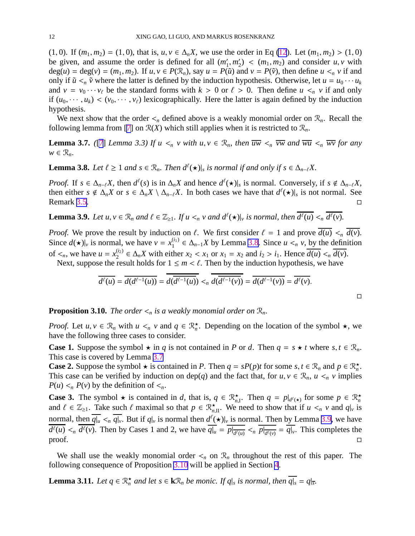<span id="page-12-0"></span>(1, 0). If  $(m_1, m_2) = (1, 0)$ , that is,  $u, v \in \Delta_n X$ , we use the order in Eq [\(12](#page-10-0)). Let  $(m_1, m_2) > (1, 0)$ be given, and assume the order is defined for all (*m* ′  $'_{1}, m'_{2}$  $\chi_2'$  <  $(m_1, m_2)$  and consider  $u, v$  with  $deg(u) = deg(v) = (m_1, m_2)$ . If  $u, v \in P(\mathcal{R}_n)$ , say  $u = P(\tilde{u})$  and  $v = P(\tilde{v})$ , then define  $u <_n v$  if and only if  $\tilde{u} <_{n} \tilde{v}$  where the latter is defined by the induction hypothesis. Otherwise, let  $u = u_0 \cdots u_k$ and  $v = v_0 \cdots v_\ell$  be the standard forms with  $k > 0$  or  $\ell > 0$ . Then define  $u <_n v$  if and only if  $(u_0, \dots, u_k) < (v_0, \dots, v_\ell)$  lexicographically. Here the latter is again defined by the induction hypothesis.

We next show that the order  $\lt_n$  defined above is a weakly monomial order on  $\mathcal{R}_n$ . Recall the following lemma from [[7\]](#page-29-0) on  $\mathcal{R}(X)$  which still applies when it is restricted to  $\mathcal{R}_n$ .

**Lemma 3.7.** *([\[7](#page-29-0)] Lemma 3.3) If*  $u <sub>n</sub> v with u, v \in \mathcal{R}_n$ *, then*  $\overline{uw} <sub>n</sub> \overline{vw}$  *and*  $\overline{wu} <sub>n</sub> \overline{w}$  *for any*  $w \in \mathcal{R}_n$ .

**Lemma 3.8.** *Let*  $\ell \geq 1$  *and*  $s \in \mathbb{R}_n$ *. Then*  $d^{\ell}(\star)|_s$  *is normal if and only if*  $s \in \Delta_{n-\ell}X$ *.* 

*Proof.* If  $s \in \Delta_{n-\ell}X$ , then  $d^{\ell}(s)$  is in  $\Delta_nX$  and hence  $d^{\ell}(\star)|_s$  is normal. Conversely, if  $s \notin \Delta_{n-\ell}X$ , then either  $s \notin \Delta_n X$  or  $s \in \Delta_n X \setminus \Delta_{n-\ell} X$ . In both cases we have that  $d^{\ell}(\star)|_s$  is not normal. See Remark [3.5.](#page-10-0)

**Lemma 3.9.** Let  $u, v \in \mathcal{R}_n$  and  $\ell \in \mathbb{Z}_{\geq 1}$ . If  $u <_n v$  and  $d^{\ell}(\star)|_v$  is normal, then  $\overline{d^{\ell}(u)} <_n \overline{d^{\ell}(v)}$ .

*Proof.* We prove the result by induction on  $\ell$ . We first consider  $\ell = 1$  and prove  $\overline{d(u)} \leq n \overline{d(v)}$ . Since  $d(\star)|_v$  is normal, we have  $v = x_1^{(i_1)}$  $\alpha_1^{(i_1)}$  ∈  $\Delta_{n-1}X$  by Lemma [3.8](#page-11-0). Since  $u <_n v$ , by the definition of  $\lt_n$ , we have  $u = x_2^{(i_2)}$  $\alpha_{2}^{(i_2)}$  ∈  $\Delta_n X$  with either  $x_2 < x_1$  or  $x_1 = x_2$  and  $i_2 > i_1$ . Hence  $d(u) <_n d(v)$ .

Next, suppose the result holds for  $1 \le m < \ell$ . Then by the induction hypothesis, we have

$$
\overline{d^{\ell}(u)} = \overline{d(d^{\ell-1}(u))} = d(\overline{d^{\ell-1}(u)}) <_{n} d(\overline{d^{\ell-1}(v)}) = \overline{d(d^{\ell-1}(v))} = \overline{d^{\ell}(v)}.
$$

 $\Box$ 

**Proposition 3.10.** *The order*  $\lt_n$  *is a weakly monomial order on*  $\mathcal{R}_n$ *.* 

*Proof.* Let  $u, v \in \mathcal{R}_n$  with  $u \leq v$  and  $q \in \mathcal{R}_n^*$ . Depending on the location of the symbol  $\star$ , we have the following three cases to consider.

**Case 1.** Suppose the symbol  $\star$  in *q* is not contained in *P* or *d*. Then  $q = s \star t$  where  $s, t \in \mathcal{R}_n$ . This case is covered by Lemma [3.7](#page-11-0)

**Case 2.** Suppose the symbol  $\star$  is contained in *P*. Then  $q = sP(p)t$  for some  $s, t \in \mathbb{R}_n$  and  $p \in \mathbb{R}_n^{\star}$ . This case can be verified by induction on dep(q) and the fact that, for  $u, v \in \mathcal{R}_n$ ,  $u \leq v$  implies  $P(u) \leq n P(v)$  by the definition of  $\leq n$ .

**Case 3.** The symbol  $\star$  is contained in *d*, that is,  $q \in \mathbb{R}^{\star}_{n,1}$ . Then  $q = p|_{d^{\ell}(\star)}$  for some  $p \in \mathbb{R}^{\star}_{n}$ and  $\ell \in \mathbb{Z}_{\geq 1}$ . Take such  $\ell$  maximal so that  $p \in \mathbb{R}^{\star}_{n,\text{II}}$ . We need to show that if  $u <_{n} v$  and  $q|_{v}$  is normal, then  $\overline{q|_u} <_{n} \overline{q|_v}$ . But if  $q|_v$  is normal then  $d^{\ell}(\star)|_v$  is normal. Then by Lemma [3.9,](#page-11-0) we have  $d^{\ell}(u) <_{n} d^{\ell}(v)$ . Then by Cases 1 and 2, we have  $q|_{u} = p|_{\overline{d^{\ell}(u)}} <_{n} p|_{\overline{d^{\ell}(v)}} = q|_{v}$ . This completes the proof.  $\Box$ 

We shall use the weakly monomial order  $\lt_n$  on  $\mathcal{R}_n$  throughout the rest of this paper. The following consequence of Proposition [3.10](#page-11-0) will be applied in Section 4.

**Lemma 3.11.** *Let*  $q \in \mathbb{R}^{\star}$  *and let*  $s \in \mathbf{k}\mathbb{R}$ *n be monic. If*  $q|_s$  *is normal, then*  $\overline{q|_s} = q|_{\overline{s}}$ *.*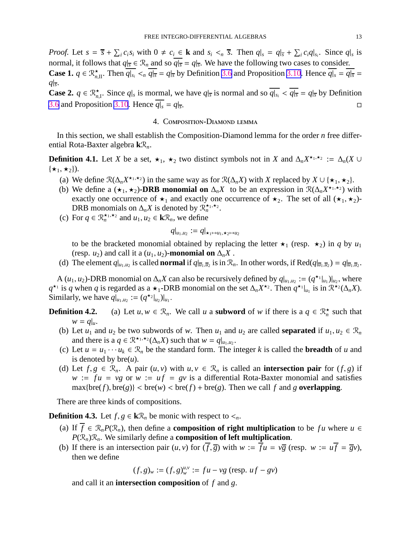<span id="page-13-0"></span>*Proof.* Let  $s = \overline{s} + \sum_i c_i s_i$  with  $0 \neq c_i \in \mathbf{k}$  and  $s_i \leq \overline{s}$ . Then  $q|_{s} = q|\overline{s} + \sum_i c_i q|_{s_i}$ . Since  $q|_{s}$  is normal, it follows that  $q|_{\overline{s}} \in \mathcal{R}_n$  and so  $\overline{q|_{\overline{s}}} = q|_{\overline{s}}$ . We have the following two cases to consider. **Case 1.**  $q \in \mathbb{R}_{n,\text{II}}^{\star}$ . Then  $\overline{q|_{s_i}} \leq n \overline{q|_{\overline{s}}} = q|_{\overline{s}}$  by Definition [3.6](#page-10-0) and Proposition [3.10](#page-11-0). Hence  $\overline{q|_{s}} = \overline{q|_{\overline{s}}} =$ 

*q*|*s* . **Case 2.**  $q \in \mathbb{R}_{n,1}^{\star}$ . Since  $q|_{s}$  is mormal, we have  $q|_{\overline{s}}$  is normal and so  $\overline{q|_{s_i}} < \overline{q|_{\overline{s}}} = q|_{\overline{s}}$  by Definition [3.6](#page-10-0) and Proposition [3.10](#page-11-0). Hence  $\overline{q|_s} = q|_{\overline{s}}$ . .<br>1980 - Johann Stein, Amerikaansk politiker († 1908)<br>1980 - Johann Stein, Amerikaansk politiker († 1908)

#### 4. Composition-Diamond lemma

In this section, we shall establish the Composition-Diamond lemma for the order *n* free differential Rota-Baxter algebra **k**R*n*.

**Definition 4.1.** Let *X* be a set,  $\star_1$ ,  $\star_2$  two distinct symbols not in *X* and  $\Delta_n X^{\star_1, \star_2} := \Delta_n(X \cup$  $\{\star_1,\star_2\}$ ).

- (a) We define  $\mathcal{R}(\Delta_n X^{\star_1, \star_2})$  in the same way as for  $\mathcal{R}(\Delta_n X)$  with *X* replaced by  $X \cup {\star_1, \star_2}$ .
- (b) We define a  $(\star_1, \star_2)$ -DRB monomial on  $\Delta_n X$  to be an expression in  $\mathcal{R}(\Delta_n X^{\star_1, \star_2})$  with exactly one occurrence of  $\star_1$  and exactly one occurrence of  $\star_2$ . The set of all  $(\star_1, \star_2)$ -DRB monomials on  $\Delta_n X$  is denoted by  $\mathcal{R}_n^{\star_1, \star_2}$ .
- (c) For  $q \in \mathbb{R}_n^{\star_1,\star_2}$  and  $u_1, u_2 \in \mathbf{k} \mathbb{R}_n$ , we define

$$
q|_{u_1,u_2}:=q|_{\star_1\mapsto u_1,\star_2\mapsto u_2}
$$

to be the bracketed monomial obtained by replacing the letter  $\star_1$  (resp.  $\star_2$ ) in *q* by *u*<sub>1</sub> (resp. *u*<sub>2</sub>) and call it a  $(u_1, u_2)$ -monomial on  $\Delta_n X$ .

(d) The element  $q|_{u_1,u_2}$  is called **normal** if  $q|_{\overline{u}_1,\overline{u}_2}$  is in  $\mathcal{R}_n$ . In other words, if Red $(q|_{\overline{u}_1,\overline{u}_2}) = q|_{\overline{u}_1,\overline{u}_2}$ .

A  $(u_1, u_2)$ -DRB monomial on  $\Delta_n X$  can also be recursively defined by  $q|_{u_1, u_2} := (q^{\star_1}|_{u_1})|_{u_2}$ , where  $q^{\star_1}$  is *q* when *q* is regarded as a  $\star_1$ -DRB monomial on the set  $\Delta_n X^{\star_2}$ . Then  $q^{\star_1}|_{u_1}$  is in  $\mathbb{R}^{\star_2}(\Delta_n X)$ . Similarly, we have  $q|_{u_1,u_2} := (q^{\star_2}|_{u_2})|_{u_1}$ .

**Definition 4.2.** (a) Let  $u, w \in \mathcal{R}_n$ . We call *u* a **subword** of *w* if there is a  $q \in \mathcal{R}_n^{\star}$  such that  $w = q|_{u}$ .

- (b) Let  $u_1$  and  $u_2$  be two subwords of *w*. Then  $u_1$  and  $u_2$  are called **separated** if  $u_1, u_2 \in \mathcal{R}_n$ and there is a  $q \in \mathbb{R}^{\star_1, \star_2}(\Delta_n X)$  such that  $w = q|_{u_1, u_2}$ .
- (c) Let  $u = u_1 \cdots u_k \in \mathcal{R}_n$  be the standard form. The integer *k* is called the **breadth** of *u* and is denoted by  $bre(u)$ .
- (d) Let  $f, g \in \mathcal{R}_n$ . A pair  $(u, v)$  with  $u, v \in \mathcal{R}_n$  is called an **intersection pair** for  $(f, g)$  if  $w := fu = v$ g or  $w := uf = gv$  is a differential Rota-Baxter monomial and satisfies  $\max{\text{bre}(f), \text{bre}(g)} < \text{bre}(w) < \text{bre}(f) + \text{bre}(g)$ . Then we call f and g **overlapping**.

There are three kinds of compositions.

**Definition 4.3.** Let *f*, *g* ∈ **k** $\mathcal{R}_n$  be monic with respect to  $\lt_n$ .

- (a) If  $f \in \mathcal{R}_n P(\mathcal{R}_n)$ , then define a **composition of right multiplication** to be *fu* where  $u \in$  $P(\mathcal{R}_n)\mathcal{R}_n$ . We similarly define a **composition of left multiplication**.
- (b) If there is an intersection pair  $(u, v)$  for  $(\overline{f}, \overline{g})$  with  $w := \overline{f}u = v\overline{g}$  (resp.  $w := u\overline{f} = \overline{g}v$ ), then we define

$$
(f, g)_w := (f, g)_w^{u, v} := fu - v g
$$
 (resp.  $uf - gv)$ 

and call it an **intersection composition** of *f* and *g*.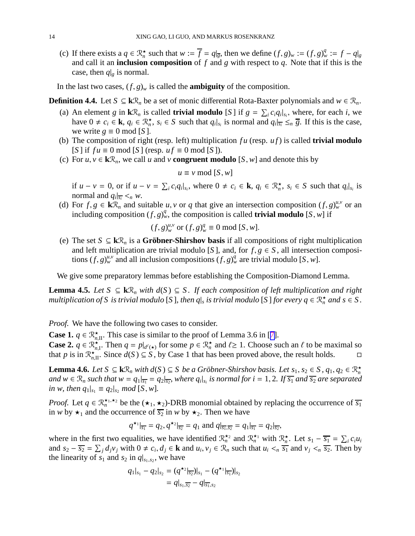<span id="page-14-0"></span>(c) If there exists a  $q \in \mathbb{R}_n^{\star}$  such that  $w := \overline{f} = q|_{\overline{g}}$ , then we define  $(f, g)_w := (f, g)_w^q := f - q|_{g}$ and call it an **inclusion composition** of *f* and *g* with respect to *q*. Note that if this is the case, then  $q|g$  is normal.

In the last two cases,  $(f, g)_w$  is called the **ambiguity** of the composition.

**Definition 4.4.** Let *S* ⊆ **k** $\mathcal{R}_n$  be a set of monic differential Rota-Baxter polynomials and *w* ∈  $\mathcal{R}_n$ .

- (a) An element *g* in  $\mathbf{k}\mathcal{R}_n$  is called **trivial modulo** [S] if  $g = \sum_i c_i q_i |_{s_i}$ , where, for each *i*, we have  $0 \neq c_i \in \mathbf{k}$ ,  $q_i \in \mathbb{R}_n^{\star}$ ,  $s_i \in S$  such that  $q_i|_{s_i}$  is normal and  $q_i|_{s_i} \leq_n \overline{g}$ . If this is the case, we write  $g \equiv 0 \mod [S]$ .
- (b) The composition of right (resp. left) multiplication *f u* (resp. *u f*) is called **trivial modulo**  $[S]$  if  $fu \equiv 0 \mod [S]$  (resp.  $uf \equiv 0 \mod [S]$ ).
- (c) For  $u, v \in k\mathcal{R}_n$ , we call *u* and *v* **congruent modulo** [*S*, *w*] and denote this by

$$
u \equiv v \bmod [S, w]
$$

if  $u - v = 0$ , or if  $u - v = \sum_i c_i q_i |_{s_i}$ , where  $0 \neq c_i \in \mathbf{k}$ ,  $q_i \in \mathcal{R}^{\star}_n$ ,  $s_i \in S$  such that  $q_i |_{s_i}$  is normal and  $q_i|_{\overline{s_i}} <_n w$ .

(d) For  $f, g \in \mathbf{k} \mathcal{R}_n$  and suitable *u*, *v* or *q* that give an intersection composition  $(f, g)_{w}^{u,v}$  or an including composition  $(f, g)_{w}^q$ , the composition is called **trivial modulo** [*S*, *w*] if

$$
(f, g)_{w}^{u,v}
$$
 or  $(f, g)_{w}^{q} \equiv 0 \mod [S, w].$ 

(e) The set *S* ⊆ **k** $\mathcal{R}_n$  is a **Gröbner-Shirshov basis** if all compositions of right multiplication and left multiplication are trivial modulo [*S*], and, for  $f, g \in S$ , all intersection compositions  $(f, g)_{w}^{u,v}$  and all inclusion compositions  $(f, g)_{w}^{q}$  are trivial modulo [*S*, *w*].

We give some preparatory lemmas before establishing the Composition-Diamond Lemma.

**Lemma 4.5.** *Let*  $S ⊆ kR_n$  *with*  $d(S) ⊆ S$ *. If each composition of left multiplication and right multiplication of S* is trivial modulo [S], then  $q|_s$  is trivial modulo [S] for every  $q \in \mathbb{R}^{\star}_n$  and  $s \in S$ .

*Proof.* We have the following two cases to consider.

**Case 1.**  $q \in \mathbb{R}^{\star}_{n,\text{II}}$ . This case is similar to the proof of Lemma 3.6 in [[7\]](#page-29-0).

**Case 2.**  $q \in \mathbb{R}^{\star}$  $\sum_{n=1}^{\infty}$ . Then  $q = p|_{d^{\ell}(\star)}$  for some  $p \in \mathbb{R}^{\star}$  and  $\ell \geq 1$ . Choose such an  $\ell$  to be maximal so that *p* is in  $\mathbb{R}_{n,\Pi}^{*}$ . Since  $d(S) \subseteq S$ , by Case 1 that has been proved above, the result holds.  $\square$ 

**Lemma 4.6.** *Let*  $S \subseteq k\mathcal{R}_n$  *with*  $d(S) \subseteq S$  *be a Gröbner-Shirshov basis. Let*  $s_1, s_2 \in S$ ,  $q_1, q_2 \in \mathcal{R}_n^{\star}$ *and*  $w \in \mathcal{R}_n$  such that  $w = q_1|_{\overline{s_1}} = q_2|_{\overline{s_2}}$ , where  $q_i|_{s_i}$  is normal for  $i = 1, 2$ . If  $\overline{s_1}$  and  $\overline{s_2}$  are separated *in w, then*  $q_1|_{s_1} \equiv q_2|_{s_2} \mod [S, w]$ *.* 

*Proof.* Let  $q \in \mathbb{R}^{\star_1,\star_2}_{n}$  be the  $(\star_1,\star_2)$ -DRB monomial obtained by replacing the occurrence of  $\overline{s_1}$ in *w* by  $\star_1$  and the occurrence of  $\overline{s_2}$  in *w* by  $\star_2$ . Then we have

$$
q^{\star_1}|_{\overline{s_1}} = q_2, q^{\star_2}|_{\overline{s_2}} = q_1
$$
 and  $q|_{\overline{s_1}, \overline{s_2}} = q_1|_{\overline{s_1}} = q_2|_{\overline{s_2}}$ ,

where in the first two equalities, we have identified  $\mathbb{R}_n^{\star_2}$  and  $\mathbb{R}_n^{\star_1}$  with  $\mathbb{R}_n^{\star}$ . Let  $s_1 - \overline{s_1} = \sum_i c_i u_i$ and  $s_2 - \overline{s_2} = \sum_j d_j v_j$  with  $0 \neq c_i, d_j \in \mathbf{k}$  and  $u_i, v_j \in \mathcal{R}_n$  such that  $u_i \leq \frac{\pi}{2}$  and  $v_j \leq \pi \overline{s_2}$ . Then by the linearity of  $s_1$  and  $s_2$  in  $q|_{s_1,s_2}$ , we have

$$
q_1|_{s_1} - q_2|_{s_2} = (q^{\star_2}|_{\overline{s_2}})|_{s_1} - (q^{\star_1}|_{\overline{s_1}})|_{s_2}
$$
  
=  $q|_{s_1, \overline{s_2}} - q|_{\overline{s_1}, s_2}$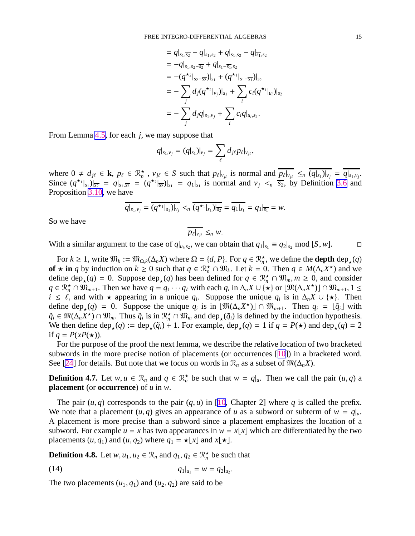$$
= q|_{s_1,\overline{s_2}} - q|_{s_1,s_2} + q|_{s_1,s_2} - q|_{\overline{s_1},s_2}
$$
  
\n
$$
= -q|_{s_1,s_2-\overline{s_2}} + q|_{s_1-\overline{s_1},s_2}
$$
  
\n
$$
= -(q^{\star_2}|_{s_2-\overline{s_2}})|_{s_1} + (q^{\star_1}|_{s_1-\overline{s_1}})|_{s_2}
$$
  
\n
$$
= -\sum_j d_j(q^{\star_2}|_{v_j})|_{s_1} + \sum_i c_i(q^{\star_1}|_{u_i})|_{s_2}
$$
  
\n
$$
= -\sum_j d_j q|_{s_1,v_j} + \sum_i c_i q|_{u_i,s_2}.
$$

<span id="page-15-0"></span>From Lemma [4.5](#page-13-0), for each *j*, we may suppose that

$$
q|_{s_1,v_j}=(q|_{s_1})|_{v_j}=\sum_{\ell}d_{j\ell}p_{\ell}|_{v_{j\ell}},
$$

where  $0 \neq d_{j\ell} \in \mathbf{k}$ ,  $p_{\ell} \in \mathcal{R}_n^{\star}$ ,  $v_{j\ell} \in S$  such that  $p_{\ell}|_{v_{j\ell}}$  is normal and  $\overline{p_{\ell}|_{v_{j\ell}}} \leq_n \overline{(q|_{s_1})|_{v_j}} = \overline{q|_{s_1,v_j}}$ . Since  $(q^{\star_1}|_{s_1})|_{\overline{s_2}} = q|_{s_1,\overline{s_2}} = (q^{\star_2}|_{\overline{s_2}})|_{s_1} = q_1|_{s_1}$  is normal and  $v_j \leq_n \overline{s_2}$ , by Definition [3.6](#page-10-0) and Proposition [3.10](#page-11-0), we have

$$
\overline{q|_{s_1,v_j}} = \overline{(q^{\star_1}|_{s_1})|_{v_j}} <_n \overline{(q^{\star_1}|_{s_1})|_{s_2}} = \overline{q_1|_{s_1}} = q_1|_{s_1} = w.
$$

So we have

$$
\overline{p_{\ell}|_{v_{j\ell}}} \leq_n w.
$$

With a similar argument to the case of  $q|_{u_i,s_2}$ , we can obtain that  $q_1|_{s_1} \equiv q_2|_{s_2} \mod [S, w]$ .

For  $k \geq 1$ , write  $\mathfrak{M}_k := \mathfrak{M}_{\Omega,k}(\Delta_n X)$  where  $\Omega = \{d, P\}$ . For  $q \in \mathcal{R}^\star_n$ , we define the **depth** dep<sub> $\star$ </sub> $(q)$ **of** ★ **in** *q* by induction on  $k \ge 0$  such that  $q \in \mathbb{R}_n^* \cap \mathbb{R}_k$ . Let  $k = 0$ . Then  $q \in M(\Delta_n X^*)$  and we define  $\text{dep}_{\star}(q) = 0$ . Suppose  $\text{dep}_{\star}(q)$  has been defined for  $q \in \mathbb{R}_{n}^{\star} \cap \mathbb{R}_{m}, m \ge 0$ , and consider *q* ∈  $\mathbb{R}_n^*$  ∩  $\widehat{\mathbb{W}}_{m+1}$ . Then we have  $q = q_1 \cdots q_\ell$  with each  $q_i$  in  $\Delta_n X \cup \{*\}$  or  $[\mathbb{W}(\Delta_n X^*)] \cap \mathbb{W}_{m+1}$ ,  $1 \leq$ *i* ≤  $\ell$ , and with  $\star$  appearing in a unique  $q_i$ . Suppose the unique  $q_i$  is in  $\Delta_n X \cup {\star}$ . Then define  $\deg_{\star}(q) = 0$ . Suppose the unique  $q_i$  is in  $[\mathfrak{M}(\Delta_n X^{\star})] \cap \mathfrak{M}_{m+1}$ . Then  $q_i = [\tilde{q}_i]$  with  $\tilde{q}_i \in \mathfrak{M}(\Delta_n X^*) \cap \mathfrak{M}_m$ . Thus  $\tilde{q}_i$  is in  $\mathcal{R}^*_n \cap \mathfrak{M}_m$  and  $\text{dep}_\star(\tilde{q}_i)$  is defined by the induction hypothesis. We then define  $\text{dep}_{\star}(q) := \text{dep}_{\star}(\tilde{q}_i) + 1$ . For example,  $\text{dep}_{\star}(q) = 1$  if  $q = P(\star)$  and  $\text{dep}_{\star}(q) = 2$ if  $q = P(xP(\star))$ .

For the purpose of the proof the next lemma, we describe the relative location of two bracketed subwords in the more precise notion of placements (or occurrences [[10\]](#page-29-0)) in a bracketed word. See [\[24](#page-29-0)] for details. But note that we focus on words in  $\mathcal{R}_n$  as a subset of  $\mathfrak{M}(\Delta_n X)$ .

**Definition 4.7.** Let  $w, u \in \mathbb{R}_n$  and  $q \in \mathbb{R}_n^*$  be such that  $w = q|_u$ . Then we call the pair  $(u, q)$  a **placement** (or **occurrence**) of *u* in *w*.

The pair  $(u, q)$  corresponds to the pair  $(q, u)$  in [\[10](#page-29-0), Chapter 2] where q is called the prefix. We note that a placement  $(u, q)$  gives an appearance of *u* as a subword or subterm of  $w = q|_u$ . A placement is more precise than a subword since a placement emphasizes the location of a subword. For example  $u = x$  has two appearances in  $w = x \lfloor x \rfloor$  which are differentiated by the two placements  $(u, q_1)$  and  $(u, q_2)$  where  $q_1 = \star \lfloor x \rfloor$  and  $x \lfloor \star \rfloor$ .

**Definition 4.8.** Let  $w, u_1, u_2 \in \mathcal{R}_n$  and  $q_1, q_2 \in \mathcal{R}_n^{\star}$  be such that

$$
(14) \t\t q_1|_{u_1} = w = q_2|_{u_2}.
$$

The two placements  $(u_1, q_1)$  and  $(u_2, q_2)$  are said to be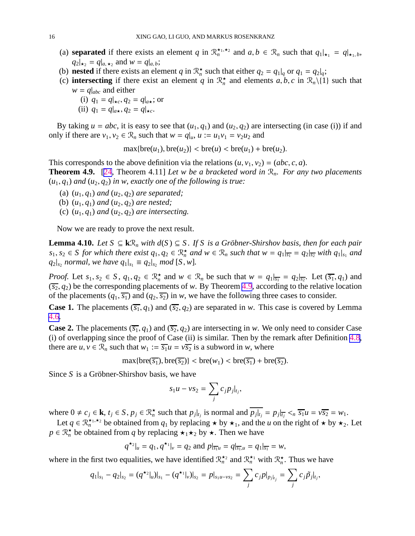- (a) **separated** if there exists an element *q* in  $\mathbb{R}_n^{\star_1,\star_2}$  and  $a, b \in \mathbb{R}_n$  such that  $q_1|_{\star_1} = q|_{\star_1,b}$ ,  $q_2|_{\star_2} = q|_{a,\star_2}$  and  $w = q|_{a,b}$ ;
- (b) **nested** if there exists an element *q* in  $\mathbb{R}_n^{\star}$  such that either  $q_2 = q_1|_q$  or  $q_1 = q_2|_q$ ;
- (c) **intersecting** if there exist an element *q* in  $\mathbb{R}_n^*$  and elements *a*, *b*, *c* in  $\mathbb{R}_n\setminus\{1\}$  such that  $w = q|_{abc}$  and either
	- (i)  $q_1 = q|_{\star c}, q_2 = q|_{a\star}$ ; or
	- (ii)  $q_1 = q|_{a\star}, q_2 = q|_{\star c}.$

By taking  $u = abc$ , it is easy to see that  $(u_1, q_1)$  and  $(u_2, q_2)$  are intersecting (in case (i)) if and only if there are  $v_1, v_2 \in \mathcal{R}_n$  such that  $w = q|_u, u := u_1v_1 = v_2u_2$  and

$$
\max\{\text{bre}(u_1), \text{bre}(u_2)\} < \text{bre}(u) < \text{bre}(u_1) + \text{bre}(u_2).
$$

This corresponds to the above definition via the relations  $(u, v_1, v_2) = (abc, c, a)$ . **Theorem 4.9.** [\[24](#page-29-0), Theorem 4.11] *Let w be a bracketed word in* R*n. For any two placements*  $(u_1, q_1)$  *and*  $(u_2, q_2)$  *in w, exactly one of the following is true:* 

- (a)  $(u_1, q_1)$  *and*  $(u_2, q_2)$  *are separated;*
- (b)  $(u_1, q_1)$  *and*  $(u_2, q_2)$  *are nested;*
- (c)  $(u_1, q_1)$  *and*  $(u_2, q_2)$  *are intersecting.*

Now we are ready to prove the next result.

**Lemma 4.10.** *Let*  $S ⊆ kR_n$  *with*  $d(S) ⊆ S$ *. If*  $S$  *is a Gröbner-Shirshov basis, then for each pair*  $s_1, s_2 \in S$  for which there exist  $q_1, q_2 \in \mathbb{R}_n^{\star}$  and  $w \in \mathbb{R}_n$  such that  $w = q_1|_{\overline{s_1}} = q_2|_{\overline{s_2}}$  with  $q_1|_{s_1}$  and  $q_2|_{s_2}$  *normal, we have*  $q_1|_{s_1} \equiv q_2|_{s_2}$  *mod* [*S*, *w*].

*Proof.* Let  $s_1, s_2 \in S$ ,  $q_1, q_2 \in \mathbb{R}_n^*$  and  $w \in \mathbb{R}_n$  be such that  $w = q_1|_{\overline{s_1}} = q_2|_{\overline{s_2}}$ . Let  $(\overline{s_1}, q_1)$  and  $(\overline{s_2}, q_2)$  be the corresponding placements of *w*. By Theorem [4.9](#page-15-0), according to the relative location of the placements  $(q_1, \overline{s_1})$  and  $(q_2, \overline{s_2})$  in *w*, we have the following three cases to consider.

**Case 1.** The placements  $(\overline{s_1}, q_1)$  and  $(\overline{s_2}, q_2)$  are separated in *w*. This case is covered by Lemma [4.6](#page-13-0).

**Case 2.** The placements  $(\overline{s_1}, q_1)$  and  $(\overline{s_2}, q_2)$  are intersecting in *w*. We only need to consider Case (i) of overlapping since the proof of Case (ii) is similar. Then by the remark after Definition [4.8](#page-15-0), there are  $u, v \in \mathcal{R}_n$  such that  $w_1 := \overline{s_1}u = v\overline{s_2}$  is a subword in *w*, where

$$
\max\{\text{bre}(\overline{s_1}), \text{bre}(\overline{s_2})\} < \text{bre}(w_1) < \text{bre}(\overline{s_1}) + \text{bre}(\overline{s_2}).
$$

Since *S* is a Gröbner-Shirshov basis, we have

$$
s_1u - vs_2 = \sum_j c_j p_j|_{t_j},
$$

where  $0 \neq c_j \in \mathbf{k}$ ,  $t_j \in S$ ,  $p_j \in \mathbb{R}_n^*$  such that  $p_j|_{t_j}$  is normal and  $\overline{p_j|_{t_j}} = p_j|_{t_j} < \sqrt{s_1}$   $\leq v \overline{s_2} = w_1$ .

Let  $q \in \mathbb{R}^{\star_1,\star_2}_{n}$  be obtained from  $q_1$  by replacing  $\star$  by  $\star_1$ , and the *u* on the right of  $\star$  by  $\star_2$ . Let  $p \in \mathbb{R}_n^{\star}$  be obtained from *q* by replacing  $\star_1 \star_2$  by  $\star$ . Then we have

$$
q^{\star 2}|_{u} = q_1, q^{\star 1}|_{v} = q_2
$$
 and  $p|_{\overline{s_1}u} = q|_{\overline{s_1}u} = q_1|_{\overline{s_1}} = w$ ,

where in the first two equalities, we have identified  $\mathcal{R}_n^{\star_2}$  and  $\mathcal{R}_n^{\star_1}$  with  $\mathcal{R}_n^{\star}$ . Thus we have

$$
q_1|_{s_1}-q_2|_{s_2}=(q^{\star_2}|_u)|_{s_1}-(q^{\star_1}|_v)|_{s_2}=p|_{s_1u-vs_2}=\sum_j c_jp|_{p_j|_{t_j}}=\sum_j c_j\tilde{p}_j|_{t_j},
$$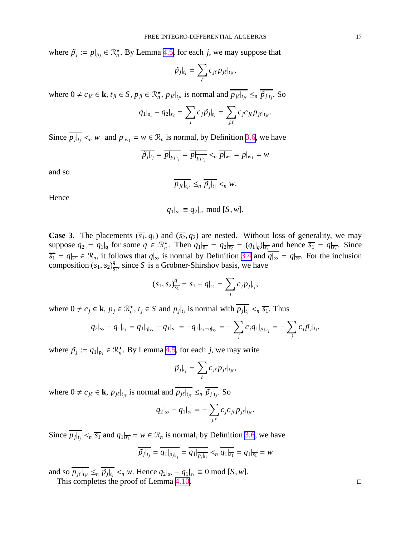<span id="page-17-0"></span>where  $\tilde{p}_j := p|_{p_j} \in \mathbb{R}_n^{\star}$ . By Lemma [4.5,](#page-13-0) for each *j*, we may suppose that

$$
\tilde{p_j}|_{t_j} = \sum_{\ell} c_{j\ell} p_{j\ell}|_{t_{j\ell}},
$$

where  $0 \neq c_{j\ell} \in \mathbf{k}$ ,  $t_{jl} \in S$ ,  $p_{jl} \in \mathcal{R}_n^{\star}$ ,  $p_{j\ell}|_{t_{j\ell}}$  is normal and  $\overline{p_{j\ell}|_{t_{j\ell}}} \leq_n \overline{\tilde{p}_{j}|_{t_{j}}}$ . So

$$
q_1|_{s_1} - q_2|_{s_2} = \sum_j c_j \tilde{p}_j|_{t_j} = \sum_{j,\ell} c_j c_{j\ell} p_{j\ell}|_{t_{j\ell}}.
$$

Since  $\overline{p_j|_{t_j}} <_n w_1$  and  $p|_{w_1} = w \in \mathcal{R}_n$  is normal, by Definition [3.6](#page-10-0), we have |

$$
\overline{\tilde{p}_j|_{t_j}} = \overline{p|_{p_j|_{t_j}}} = \overline{p|_{\overline{p_j|_{t_j}}}} <_{n} \overline{p|_{w_1}} = p|_{w_1} = w
$$

and so

$$
\overline{p_{j\ell}|_{t_{j\ell}}} \leq_n \overline{\tilde{p}_{j}|_{t_j}} <_n w.
$$

Hence

$$
q_1|_{s_1} \equiv q_2|_{s_2} \bmod [S, w].
$$

**Case 3.** The placements  $(\overline{s_1}, q_1)$  and  $(\overline{s_2}, q_2)$  are nested. Without loss of generality, we may suppose  $q_2 = q_1|_q$  for some  $q \in \mathbb{R}^{\star}_n$ . Then  $q_1|_{\overline{s_1}} = q_2|_{\overline{s_2}} = (q_1|_q)|_{\overline{s_2}}$  and hence  $\overline{s_1} = q|_{\overline{s_2}}$ . Since  $\overline{s_1} = q|_{\overline{s_2}} \in \mathcal{R}_n$ , it follows that  $q|_{s_2}$  is normal by Definition [3.4](#page-10-0) and  $\overline{q|_{s_2}} = q|_{\overline{s_2}}$ . For the inclusion composition  $(s_1, s_2)$ <sup>q</sup><sub>s</sub>  $\frac{q}{s_1}$ , since *S* is a Gröbner-Shirshov basis, we have

$$
(s_1, s_2)_{\overline{s_1}}^q = s_1 - q|_{s_2} = \sum_j c_j p_j|_{t_j},
$$

where  $0 \neq c_j \in \mathbf{k}$ ,  $p_j \in \mathbb{R}_n^*$ ,  $t_j \in S$  and  $p_j|_{t_j}$  is normal with  $\overline{p_j|_{t_j}} \leq_n \overline{s_1}$ . Thus

$$
q_2|_{s_2}-q_1|_{s_1}=q_1|_{q|_{s_2}}-q_1|_{s_1}=-q_1|_{s_1-q|_{s_2}}=-\sum_j c_j q_1|_{p_j|_{t_j}}=-\sum_j c_j \tilde{p}_j|_{t_j},
$$

where  $\tilde{p}_j := q_1|_{p_j} \in \mathbb{R}_n^*$ . By Lemma [4.5](#page-13-0), for each *j*, we may write

$$
\tilde{p}_j|_{t_j} = \sum_{\ell} c_{j\ell} p_{j\ell}|_{t_{j\ell}},
$$

where  $0 \neq c_{j\ell} \in \mathbf{k}$ ,  $p_{j\ell}|_{t_{j\ell}}$  is normal and  $\overline{p_{j\ell}|_{t_{j\ell}}} \leq_n \overline{\tilde{p}_{j}|_{t_{j}}}$ . So |

$$
q_2|_{s_2}-q_1|_{s_1}=-\sum_{j,\ell}c_jc_{j\ell}p_{j\ell}|_{t_{j\ell}}.
$$

Since  $\overline{p_j|_{t_j}} <_{n} \overline{s_1}$  and  $q_1|_{\overline{s_1}} = w \in \mathcal{R}_n$  is normal, by Definition [3.6](#page-10-0), we have |

$$
\overline{\tilde{p}_j|_{t_j}} = \overline{q_1|_{p_j|_{t_j}}} = \overline{q_1|_{p_j|_{t_j}}} <_{n} \overline{q_1|_{s_1}} = q_1|_{s_1} = w
$$

and so  $p_{j\ell}|_{t_{j\ell}} \leq_n \tilde{p}_j|_{t_j} <_n w$ . Hence  $q_2|_{s_2} - q_1|_{s_1} \equiv 0 \mod [S, w]$ . | |

This completes the proof of Lemma  $4.10$ .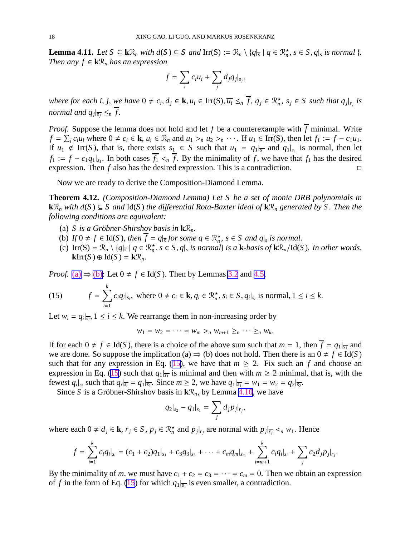**Lemma 4.11.** Let  $S \subseteq k\mathcal{R}_n$  with  $d(S) \subseteq S$  and  $\text{Irr}(S) := \mathcal{R}_n \setminus \{q_{\overline{s}} \mid q \in \mathcal{R}_n^{\star}, s \in S, q_{\overline{s}} \text{ is normal } \}.$ *Then any*  $f \in \mathbf{k} \mathcal{R}_n$  *has an expression* 

$$
f = \sum_i c_i u_i + \sum_j d_j q_j \big|_{s_j},
$$

where for each i, j, we have  $0 \neq c_i, d_j \in \mathbf{k}, u_i \in \text{Irr}(S), \overline{u_i} \leq_n \overline{f}, q_j \in \mathcal{R}^\star_n$ ,  $s_j \in S$  such that  $q_j|_{s_j}$  is *normal and*  $q_j |_{\overline{s_j}} \leq_n f$ .

*Proof.* Suppose the lemma does not hold and let f be a counterexample with  $\overline{f}$  minimal. Write  $f = \sum_i c_i u_i$  where  $0 \neq c_i \in \mathbf{k}$ ,  $u_i \in \mathcal{R}_n$  and  $u_1 >_n u_2 >_n \cdots$ . If  $u_1 \in \text{Irr}(S)$ , then let  $f_1 := f - c_1 u_1$ . If  $u_1 \notin \text{Irr}(S)$ , that is, there exists  $s_1 \in S$  such that  $u_1 = q_1 |_{\overline{s_1}}$  and  $q_1 |_{s_1}$  is normal, then let  $f_1 := f - c_1 q_1 |_{s_1}$ . In both cases  $f_1 \leq_n f$ . By the minimality of *f*, we have that  $f_1$  has the desired expression. Then  $f$  also has the desired expression. This is a contradiction.  $\Box$ 

Now we are ready to derive the Composition-Diamond Lemma.

**Theorem 4.12.** *(Composition-Diamond Lemma) Let S be a set of monic DRB polynomials in* **k** $\mathcal{R}_n$  *with d*(*S*) ⊆ *S and* **Id**(*S*) *the differential Rota-Baxter ideal of* **k** $\mathcal{R}_n$  *generated by S. Then the following conditions are equivalent:*

- (a) *S* is a Gröbner-Shirshov basis in  $\mathbf{k}\mathcal{R}_n$ .
- (b) *If*  $0 \neq f \in \text{Id}(S)$ , then  $\overline{f} = q |_{\overline{s}}$  for some  $q \in \mathbb{R}^{\star}_{n}$ ,  $s \in S$  and  $q |_{s}$  is normal.
- (c)  $\text{Irr}(S) = \mathcal{R}_n \setminus \{q|_{\overline{s}} \mid q \in \mathcal{R}_n^{\star}, s \in S, q|_{s} \text{ is normal} \}$  is a **k**-basis of **k** $\mathcal{R}_n/\text{Id}(S)$ *. In other words,*  $\mathbf{k}$ Irr $(S) \oplus \mathrm{Id}(S) = \mathbf{k} \mathcal{R}_n$ .

*Proof.* [\(a\)](#page-17-0)  $\Rightarrow$  [\(b\)](#page-17-0): Let  $0 \neq f \in Id(S)$ . Then by Lemmas [3.2](#page-9-0) and [4.5,](#page-13-0)

(15) 
$$
f = \sum_{i=1}^{k} c_i q_i |_{s_i}, \text{ where } 0 \neq c_i \in \mathbf{k}, q_i \in \mathcal{R}_n^{\star}, s_i \in S, q_i |_{s_i} \text{ is normal}, 1 \leq i \leq k.
$$

Let  $w_i = q_i |_{\overline{s_i}}$ ,  $1 \le i \le k$ . We rearrange them in non-increasing order by

$$
w_1 = w_2 = \cdots = w_m >_n w_{m+1} \geq_n \cdots \geq_n w_k.
$$

If for each  $0 \neq f \in Id(S)$ , there is a choice of the above sum such that  $m = 1$ , then  $\overline{f} = q_1 |_{\overline{s_1}}$  and we are done. So suppose the implication (a)  $\Rightarrow$  (b) does not hold. Then there is an  $0 \neq f \in Id(S)$ such that for any expression in Eq. [\(15](#page-17-0)), we have that  $m \geq 2$ . Fix such an f and choose an expression in Eq. [\(15](#page-17-0)) such that  $q_1|_{\overline{s_1}}$  is minimal and then with  $m \geq 2$  minimal, that is, with the fewest  $q_i|_{s_i}$  such that  $q_i|_{\overline{s_i}} = q_1|_{\overline{s_1}}$ . Since  $m \ge 2$ , we have  $q_1|_{\overline{s_1}} = w_1 = w_2 = q_2|_{\overline{s_2}}$ .

Since *S* is a Gröbner-Shirshov basis in  $k\mathcal{R}_n$ , by Lemma [4.10,](#page-15-0) we have

$$
q_2|_{s_2}-q_1|_{s_1}=\sum_j d_j p_j|_{r_j},
$$

where each  $0 \neq d_j \in \mathbf{k}$ ,  $r_j \in S$ ,  $p_j \in \mathbb{R}_n^*$  and  $p_j|_{r_j}$  are normal with  $p_j|_{\overline{r_j}} <_n w_1$ . Hence

$$
f = \sum_{i=1}^k c_i q_i |_{s_i} = (c_1 + c_2) q_1 |_{s_1} + c_3 q_3 |_{s_3} + \cdots + c_m q_m |_{s_m} + \sum_{i=m+1}^k c_i q_i |_{s_i} + \sum_j c_2 d_j p_j |_{r_j}.
$$

By the minimality of *m*, we must have  $c_1 + c_2 = c_3 = \cdots = c_m = 0$ . Then we obtain an expression of *f* in the form of Eq. [\(15](#page-17-0)) for which  $q_1|_{\overline{s_1}}$  is even smaller, a contradiction.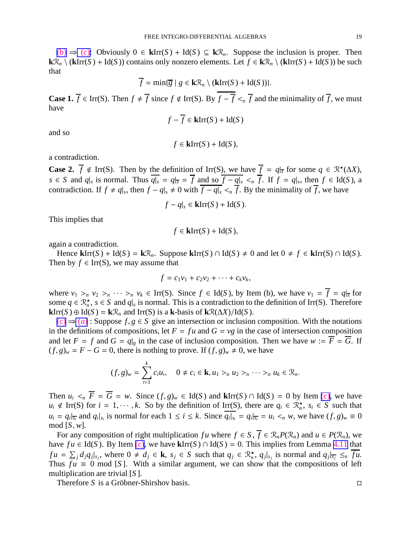<span id="page-19-0"></span>[\(b\)](#page-17-0) ⇒ (*[c](#page-17-0)*): Obviously 0 ∈ **k**Irr(*S* ) + Id(*S* ) ⊆ **k**R*n*. Suppose the inclusion is proper. Then **k** $\mathcal{R}_n$  \ (**k**Irr(*S*) + Id(*S*)) contains only nonzero elements. Let *f* ∈ **k** $\mathcal{R}_n$  \ (**k**Irr(*S*) + Id(*S*)) be such that

$$
\overline{f} = \min{\{\overline{g} \mid g \in \mathbf{k}\mathcal{R}_n \setminus (\mathbf{kIrr}(S) + \mathrm{Id}(S))\}}.
$$

**Case 1.**  $\overline{f} \in \text{Irr}(S)$ . Then  $f \neq \overline{f}$  since  $f \notin \text{Irr}(S)$ . By  $\overline{f} - \overline{f} \leq_n \overline{f}$  and the minimality of  $\overline{f}$ , we must have

$$
f - \overline{f} \in \mathbf{k} \mathrm{Irr}(S) + \mathrm{Id}(S)
$$

and so

$$
f \in \mathbf{k} \mathrm{Irr}(S) + \mathrm{Id}(S),
$$

a contradiction.

**Case 2.**  $\overline{f} \notin \text{Irr}(S)$ . Then by the definition of Irr(S), we have  $\overline{f} = q|_{\overline{s}}$  for some  $q \in \mathbb{R}^{\star}(\Delta X)$ ,  $s \in S$  and  $q|_s$  is normal. Thus  $q|_s = q|_{\overline{s}} = f$  and so  $f - q|_s <_n f$ . If  $f = q|_s$ , then  $f \in Id(S)$ , a contradiction. If  $f \neq q|_s$ , then  $f - q|_s \neq 0$  with  $\overline{f - q|_s} <_{n} \overline{f}$ . By the minimality of  $\overline{f}$ , we have

$$
f - q|_{s} \in \mathbf{k} \mathrm{Irr}(S) + \mathrm{Id}(S).
$$

This implies that

$$
f \in \mathbf{k} \text{Irr}(S) + \text{Id}(S),
$$

again a contradiction.

Hence  $\textbf{k}$ Irr(*S*) + Id(*S*) =  $\textbf{k} \mathcal{R}_n$ . Suppose  $\textbf{k}$ Irr(*S*) ∩ Id(*S*)  $\neq$  0 and let 0  $\neq$  *f*  $\in$   $\textbf{k}$ Irr(*S*) ∩ Id(*S*). Then by  $f \in \text{Irr}(S)$ , we may assume that

$$
f = c_1v_1 + c_2v_2 + \cdots + c_kv_k,
$$

where  $v_1 >_n v_2 >_n \cdots >_n v_k \in \text{Irr}(S)$ . Since  $f \in \text{Id}(S)$ , by Item (b), we have  $v_1 = \overline{f} = q|_{\overline{s}}$  for some  $q \in \mathbb{R}_n^*$ ,  $s \in S$  and  $q|_s$  is normal. This is a contradiction to the definition of Irr(S). Therefore **k**Irr(*S*) ⊕ Id(*S*) = **k** $\mathcal{R}_n$  and Irr(*S*) is a **k**-basis of **k** $\mathcal{R}(\Delta X) / Id(S)$ .

 $(c) \Rightarrow (a)$  $(c) \Rightarrow (a)$  $(c) \Rightarrow (a)$  $(c) \Rightarrow (a)$ : Suppose  $f, g \in S$  give an intersection or inclusion composition. With the notations in the definitions of compositions, let  $F = fu$  and  $G = vg$  in the case of intersection composition and let  $F = f$  and  $G = q|g$  in the case of inclusion composition. Then we have  $w := \overline{F} = \overline{G}$ . If  $(f, g)_w = F - G = 0$ , there is nothing to prove. If  $(f, g)_w \neq 0$ , we have

$$
(f,g)_w = \sum_{i=1}^k c_i u_i, \quad 0 \neq c_i \in \mathbf{k}, u_1 >_n u_2 >_n \cdots >_n u_k \in \mathcal{R}_n.
$$

Then  $u_i \leq n \overline{F} = \overline{G} = w$ . Since  $(f, g)_w \in \text{Id}(S)$  and  $\text{klrr}(S) \cap \text{Id}(S) = 0$  by Item [\(c\),](#page-17-0) we have  $u_i \notin \text{Irr}(S)$  for  $i = 1, \dots, k$ . So by the definition of  $\text{Irr}(S)$ , there are  $q_i \in \mathbb{R}^{\star}_n$ ,  $s_i \in S$  such that  $u_i = q_i|_{\overline{s_i}}$  and  $q_i|_{s_i}$  is normal for each  $1 \le i \le k$ . Since  $q_i|_{s_i} = q_i|_{\overline{s_i}} = u_i \lt_n w$ , we have  $(f, g)_w \equiv 0$ mod [*S*, *w*].

For any composition of right multiplication *fu* where  $f \in S$ ,  $\overline{f} \in \mathcal{R}_n P(\mathcal{R}_n)$  and  $u \in P(\mathcal{R}_n)$ , we have  $fu \in Id(S)$ . By Item [\(c\),](#page-17-0) we have  $\text{klrr}(S) \cap Id(S) = 0$ . This implies from Lemma [4.11](#page-17-0) that  $fu = \sum_{j} d_{j}q_{j}|_{s_{j}}$ , where  $0 \neq d_{j} \in \mathbf{k}$ ,  $s_{j} \in S$  such that  $q_{j} \in \mathbb{R}_{n}^{\star}$ ,  $q_{j}|_{s_{j}}$  is normal and  $q_{j}|_{\overline{s_{j}}} \leq_{n} \overline{fu}$ . Thus  $fu \equiv 0 \mod [S]$ . With a similar argument, we can show that the compositions of left multiplication are trivial [*S* ].

Therefore *S* is a Gröbner-Shirshov basis.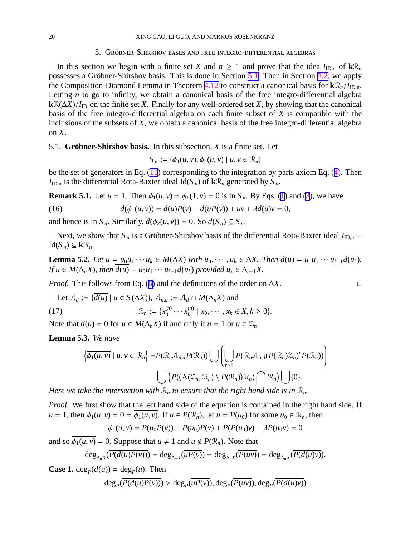#### 5. GRÖBNER-SHIRSHOV BASES AND FREE INTEGRO-DIFFERENTIAL ALGEBRAS

<span id="page-20-0"></span>In this section we begin with a finite set *X* and  $n \ge 1$  and prove that the idea  $I_{\text{ID},n}$  of  $\mathbf{k}\mathcal{R}_n$ possesses a Gröbner-Shirshov basis. This is done in Section [5.1.](#page-19-0) Then in Section [5.2,](#page-26-0) we apply the Composition-Diamond Lemma in Theorem [4.12](#page-17-0) to construct a canonical basis for  $k\mathcal{R}_n/I_{\text{ID.n.}}$ Letting *n* to go to infinity, we obtain a canonical basis of the free integro-differential algebra  $kR(\Delta X)/I_{\text{ID}}$  on the finite set *X*. Finally for any well-ordered set *X*, by showing that the canonical basis of the free integro-differential algebra on each finite subset of *X* is compatible with the inclusions of the subsets of *X*, we obtain a canonical basis of the free integro-differential algebra on *X*.

#### 5.1. **Gröbner-Shirshov basis.** In this subsection,  $X$  is a finite set. Let

$$
S_n := \{ \phi_1(u, v), \phi_2(u, v) \mid u, v \in \mathcal{R}_n \}
$$

be the set of generators in Eq. [\(11](#page-9-0)) corresponding to the integration by parts axiom Eq. ([4\)](#page-5-0). Then  $I_{ID,n}$  is the differential Rota-Baxter ideal Id( $S_n$ ) of  $\mathbf{k} \mathcal{R}_n$  generated by  $S_n$ .

**Remark 5.1.** Let  $u = 1$ . Then  $\phi_1(u, v) = \phi_1(1, v) = 0$  $\phi_1(u, v) = \phi_1(1, v) = 0$  $\phi_1(u, v) = \phi_1(1, v) = 0$  is in  $S_n$ . By Eqs. (1) and [\(3](#page-5-0)), we have

(16) 
$$
d(\phi_1(u, v)) = d(u)P(v) - d(uP(v)) + uv + \lambda d(u)v = 0,
$$

and hence is in  $S_n$ . Similarly,  $d(\phi_2(u, v)) = 0$ . So  $d(S_n) \subseteq S_n$ .

Next, we show that  $S_n$  is a Gröbner-Shirshov basis of the differential Rota-Baxter ideal  $I_{ID,n}$  =  $Id(S_n) ⊆ kR_n$ .

**Lemma 5.2.** Let  $u = u_0u_1 \cdots u_k \in M(\Delta X)$  with  $u_0, \cdots, u_k \in \Delta X$ . Then  $\overline{d(u)} = u_0u_1 \cdots u_{k-1}d(u_k)$ . *If*  $u \in M(\Delta_n X)$ , then  $\overline{d(u)} = u_0 u_1 \cdots u_{k-1} d(u_k)$  provided  $u_k \in \Delta_{n-1} X$ .

*Proof.* This follows from Eq. ([6\)](#page-5-0) and the definitions of the order on ∆*X*.

Let 
$$
A_d := \{d(u) \mid u \in S(\Delta X)\}, A_{n,d} := A_d \cap M(\Delta_n X)
$$
 and  
(17) 
$$
\mathcal{Z}_n := \{x_0^{(n)} \cdots x_k^{(n)} \mid x_0, \cdots, x_k \in X, k \ge 0\}.
$$

Note that  $d(u) = 0$  for  $u \in M(\Delta_n X)$  if and only if  $u = 1$  or  $u \in \mathcal{Z}_n$ .

**Lemma 5.3.** *We have*

$$
\left\{\overline{\phi_1(u,v)} \mid u,v \in \mathcal{R}_n\right\} = P(\mathcal{R}_n \mathcal{A}_{n,d} P(\mathcal{R}_n)) \bigcup \left(\bigcup_{r \ge 1} P(\mathcal{R}_n \mathcal{A}_{n,d} (P(\mathcal{R}_n) \mathcal{Z}_n)^r P(\mathcal{R}_n))\right)
$$

$$
\bigcup \left(P((\Lambda(\mathcal{Z}_n, \mathcal{R}_n) \setminus P(\mathcal{R}_n)) \mathcal{R}_n) \bigcap \mathcal{R}_n\right) \bigcup \{0\}.
$$

*Here we take the intersection with*  $\mathcal{R}_n$  *to ensure that the right hand side is in*  $\mathcal{R}_n$ *.* 

*Proof.* We first show that the left hand side of the equation is contained in the right hand side. If  $u = 1$ , then  $\phi_1(u, v) = 0 = \overline{\phi_1(u, v)}$ . If  $u \in P(\mathcal{R}_n)$ , let  $u = P(u_0)$  for some  $u_0 \in \mathcal{R}_n$ , then

$$
\phi_1(u, v) = P(u_0 P(v)) - P(u_0)P(v) + P(P(u_0)v) + \lambda P(u_0 v) = 0
$$

and so  $\overline{\phi_1(u, v)} = 0$ . Suppose that  $u \neq 1$  and  $u \notin P(\mathcal{R}_n)$ . Note that

$$
\deg_{\Delta_n X}(\overline{P(d(u)P(v))}) = \deg_{\Delta_n X}(\overline{uP(v)}) = \deg_{\Delta_n X}(\overline{P(uv)}) = \deg_{\Delta_n X}(\overline{P(d(u)v)}).
$$

**Case 1.** deg<sub>*P*</sub>( $d(u)$ ) = deg<sub>*P*</sub>( $u$ ). Then  $\deg_P(P(d(u)P(v))) > \deg_P(uP(v))$ ,  $\deg_P(P(uv))$ ,  $\deg_P(P(d(u)v))$ 

$$
\Box
$$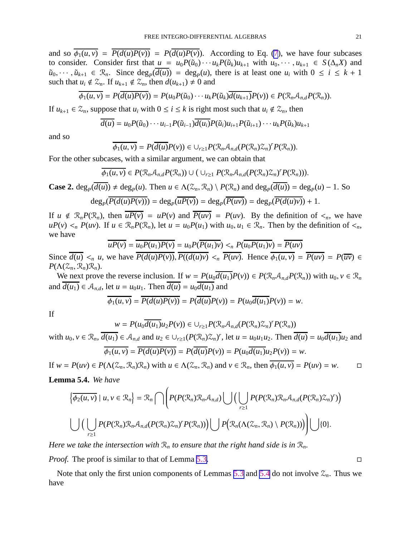<span id="page-21-0"></span>and so  $\overline{\phi_1(u, v)} = \overline{P(d(u)P(v))} = P(d(u)P(v))$ . According to Eq. [\(7](#page-7-0)), we have four subcases to consider. Consider first that  $u = u_0 P(\tilde{u}_0) \cdots u_k P(\tilde{u}_k) u_{k+1}$  with  $u_0, \cdots, u_{k+1} \in S(\Delta_n X)$  and  $\tilde{u}_0, \dots, \tilde{u}_{k+1} \in \mathbb{R}_n$ . Since  $\deg_P(\overline{d(u)}) = \deg_P(u)$ , there is at least one  $u_i$  with  $0 \le i \le k+1$ such that  $u_i \notin \mathcal{Z}_n$ . If  $u_{k+1} \notin \mathcal{Z}_n$ , then  $d(u_{k+1}) \neq 0$  and

$$
\overline{\phi_1(u,v)}=P(\overline{d(u)P(v)})=P(u_0P(\tilde{u}_0)\cdots u_kP(\tilde{u}_k)\overline{d(u_{k+1})}P(v))\in P(\mathcal{R}_n\mathcal{A}_{n,d}P(\mathcal{R}_n)).
$$

If  $u_{k+1} \in \mathcal{Z}_n$ , suppose that  $u_i$  with  $0 \le i \le k$  is right most such that  $u_i \notin \mathcal{Z}_n$ , then

$$
\overline{d(u)} = u_0 P(\tilde{u}_0) \cdots u_{i-1} P(\tilde{u}_{i-1}) \overline{d(u_i)} P(\tilde{u}_i) u_{i+1} P(\tilde{u}_{i+1}) \cdots u_k P(\tilde{u}_k) u_{k+1}
$$

and so

$$
\overline{\phi_1(u,v)} = P(\overline{d(u)}P(v)) \in \cup_{r \geq 1} P(\mathcal{R}_n \mathcal{A}_{n,d}(P(\mathcal{R}_n) \mathcal{Z}_n)^r P(\mathcal{R}_n)).
$$

For the other subcases, with a similar argument, we can obtain that

$$
\overline{\phi_1(u,v)} \in P(\mathcal{R}_n \mathcal{A}_{n,d} P(\mathcal{R}_n)) \cup (\cup_{r \geq 1} P(\mathcal{R}_n \mathcal{A}_{n,d} (P(\mathcal{R}_n) \mathcal{Z}_n)^r P(\mathcal{R}_n))).
$$

**Case 2.**  $deg_P(\overline{d(u)}) \neq deg_P(u)$ . Then  $u \in \Lambda(\mathcal{Z}_n, \mathcal{R}_n) \setminus P(\mathcal{R}_n)$  and  $deg_P(\overline{d(u)}) = deg_P(u) - 1$ . So  $deg_P(P(d(u)P(v))) = deg_P(uP(v)) = deg_P(P(uv)) = deg_P(P(d(u)v)) + 1.$ 

If  $u \notin \mathcal{R}_n P(\mathcal{R}_n)$ , then  $\overline{uP(v)} = uP(v)$  and  $\overline{P(uv)} = P(uv)$ . By the definition of  $\leq_n$ , we have  $uP(v) \leq n P(uv)$ . If  $u \in \mathcal{R}_n P(\mathcal{R}_n)$ , let  $u = u_0 P(u_1)$  with  $u_0, u_1 \in \mathcal{R}_n$ . Then by the definition of  $\leq n$ , we have

$$
\overline{uP(v)} = \overline{u_0P(u_1)P(v)} = u_0P(\overline{P(u_1)v}) <_{n} P(\overline{u_0P(u_1)v}) = \overline{P(uv)}
$$

Since  $\overline{d(u)} <_n u$ , we have  $\overline{P(d(u)P(v))}$ ,  $\overline{P(d(u)v)} <_n \overline{P(uv)}$ . Hence  $\overline{\phi_1(u,v)} = \overline{P(uv)} = P(\overline{uv}) \in$  $P(\Lambda(\mathcal{Z}_n,\mathcal{R}_n)\mathcal{R}_n)$ .

We next prove the reverse inclusion. If  $w = P(u_0\overline{d(u_1)}P(v)) \in P(\mathcal{R}_n\mathcal{A}_{n,d}P(\mathcal{R}_n))$  with  $u_0, v \in \mathcal{R}_n$ and  $\overline{d(u_1)} \in \mathcal{A}_{n,d}$ , let  $u = u_0u_1$ . Then  $\overline{d(u)} = u_0\overline{d(u_1)}$  and

$$
\overline{\phi_1(u,v)} = \overline{P(d(u)P(v))} = P(\overline{d(u)}P(v)) = P(u_0\overline{d(u_1)}P(v)) = w.
$$

If

$$
w = P(u_0\overline{d(u_1)}u_2P(v)) \in \bigcup_{r \geq 1} P(\mathcal{R}_n\mathcal{A}_{n,d}(P(\mathcal{R}_n)\mathcal{Z}_n)^r P(\mathcal{R}_n))
$$

with  $u_0, v \in \mathcal{R}_n$ ,  $\overline{d(u_1)} \in \mathcal{A}_{n,d}$  and  $u_2 \in \bigcup_{r \geq 1} (P(\mathcal{R}_n)\mathcal{Z}_n)^r$ , let  $u = u_0u_1u_2$ . Then  $\overline{d(u)} = u_0\overline{d(u_1)}u_2$  and

$$
\phi_1(u, v) = P(d(u)P(v)) = P(d(u)P(v)) = P(u_0d(u_1)u_2P(v)) = w.
$$

If  $w = P(uv) \in P(\Lambda(\mathcal{Z}_n, \mathcal{R}_n)\mathcal{R}_n)$  with  $u \in \Lambda(\mathcal{Z}_n, \mathcal{R}_n)$  and  $v \in \mathcal{R}_n$ , then  $\phi_1(u, v) = P(uv) = w$ . **Lemma 5.4.** *We have*

$$
\left\{\overline{\phi_2(u,v)}\mid u,v\in\mathcal{R}_n\right\}=\mathcal{R}_n\bigcap\left(P(P(\mathcal{R}_n)\mathcal{R}_n\mathcal{A}_{n,d})\bigcup\Big(\bigcup_{r\geq 1}P(P(\mathcal{R}_n)\mathcal{R}_n\mathcal{A}_{n,d}(P(\mathcal{R}_n)\mathcal{Z}_n)^r)\Big)\right\}
$$

$$
\bigcup\Big(\bigcup_{r\geq 1}P(P(\mathcal{R}_n)\mathcal{R}_n\mathcal{A}_{n,d}(P(\mathcal{R}_n)\mathcal{Z}_n)^rP(\mathcal{R}_n))\Big)\bigcup P\big(\mathcal{R}_n(\Lambda(\mathcal{Z}_n,\mathcal{R}_n)\setminus P(\mathcal{R}_n))\big)\bigcup\{0\}.
$$

*Here we take the intersection with*  $\mathcal{R}_n$  *to ensure that the right hand side is in*  $\mathcal{R}_n$ *.* 

*Proof.* The proof is similar to that of Lemma [5.3.](#page-19-0) □

Note that only the first union components of Lemmas [5.3](#page-19-0) and [5.4](#page-20-0) do not involve  $\mathcal{Z}_n$ . Thus we have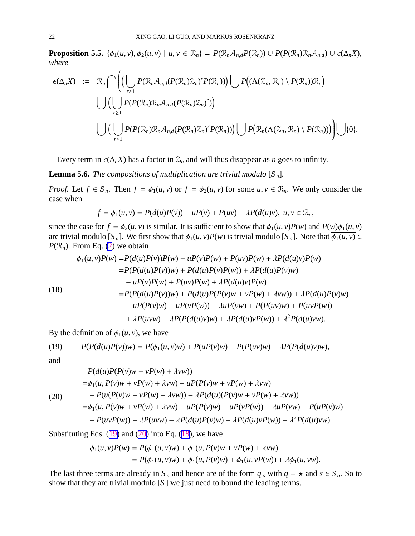**Proposition 5.5.**  $\{\overline{\phi_1(u,v)}, \overline{\phi_2(u,v)} \mid u, v \in \mathcal{R}_n\} = P(\mathcal{R}_n \mathcal{A}_{n,d} P(\mathcal{R}_n)) \cup P(P(\mathcal{R}_n) \mathcal{R}_n \mathcal{A}_{n,d}) \cup \epsilon(\Delta_n X),$ *where*

$$
\epsilon(\Delta_n X) := \mathcal{R}_n \cap \left( \left( \bigcup_{r \geq 1} P(\mathcal{R}_n \mathcal{A}_{n,d}(P(\mathcal{R}_n) \mathcal{Z}_n)^r P(\mathcal{R}_n)) \right) \bigcup P((\Lambda(\mathcal{Z}_n, \mathcal{R}_n) \setminus P(\mathcal{R}_n)) \mathcal{R}_n) \right)
$$
  

$$
\bigcup \left( \bigcup_{r \geq 1} P(P(\mathcal{R}_n) \mathcal{R}_n \mathcal{A}_{n,d}(P(\mathcal{R}_n) \mathcal{Z}_n)^r) \right)
$$
  

$$
\bigcup \left( \bigcup_{r \geq 1} P(P(\mathcal{R}_n) \mathcal{R}_n \mathcal{A}_{n,d}(P(\mathcal{R}_n) \mathcal{Z}_n)^r P(\mathcal{R}_n)) \right) \bigcup P(\mathcal{R}_n(\Lambda(\mathcal{Z}_n, \mathcal{R}_n) \setminus P(\mathcal{R}_n)) \big) \right) \cup \{0\}.
$$

Every term in  $\epsilon(\Delta_n X)$  has a factor in  $\mathcal{Z}_n$  and will thus disappear as *n* goes to infinity.

**Lemma 5.6.** *The compositions of multiplication are trivial modulo*  $[S_n]$ *.* 

*Proof.* Let  $f \in S_n$ . Then  $f = \phi_1(u, v)$  or  $f = \phi_2(u, v)$  for some  $u, v \in \mathcal{R}_n$ . We only consider the case when

$$
f = \phi_1(u, v) = P(d(u)P(v)) - uP(v) + P(uv) + \lambda P(d(u)v), u, v \in \mathcal{R}_n,
$$

since the case for  $f = \phi_2(u, v)$  is similar. It is sufficient to show that  $\phi_1(u, v)P(w)$  and  $P(w)\phi_1(u, v)$ are trivial modulo  $[S_n]$ . We first show that  $\phi_1(u, v)P(w)$  is trivial modulo  $[S_n]$ . Note that  $\overline{\phi_1(u, v)} \in$  $P(\mathcal{R}_n)$ . From Eq. [\(2](#page-5-0)) we obtain

(18)  
\n
$$
\phi_1(u, v)P(w) = P(d(u)P(v))P(w) - uP(v)P(w) + P(uv)P(w) + \lambda P(d(u)v)P(w)
$$
\n
$$
= P(P(d(u)P(v))w) + P(d(u)P(v)P(w)) + \lambda P(d(u)P(v)w)
$$
\n
$$
- uP(v)P(w) + P(uv)P(w) + \lambda P(d(u)v)P(w)
$$
\n
$$
= P(P(d(u)P(v))w) + P(d(u)P(P(v)w + vP(w) + \lambda vw)) + \lambda P(d(u)P(v)w)
$$
\n
$$
- uP(P(v)w) - uP(vP(w)) - \lambda uP(vw) + P(P(uv)w) + P(uvP(w))
$$
\n
$$
+ \lambda P(uvw) + \lambda P(P(d(u)v)w) + \lambda P(d(u)vP(w)) + \lambda^2 P(d(u)vw).
$$

By the definition of  $\phi_1(u, v)$ , we have

(19) 
$$
P(P(d(u)P(v))w) = P(\phi_1(u,v)w) + P(uP(v)w) - P(P(uv)w) - \lambda P(P(d(u)v)w),
$$

and

$$
P(d(u)P(P(v)w + vP(w) + \lambda vw))
$$
  
=  $\phi_1(u, P(v)w + vP(w) + \lambda vw) + uP(P(v)w + vP(w) + \lambda vw)$   
(20) 
$$
-P(u(P(v)w + vP(w) + \lambda vw)) - \lambda P(d(u)(P(v)w + vP(w) + \lambda vw))
$$
  
=  $\phi_1(u, P(v)w + vP(w) + \lambda vw) + uP(P(v)w) + uP(vP(w)) + \lambda uP(vw) - P(uP(v)w)$   
-  $P(uvP(w)) - \lambda P(uvw) - \lambda P(d(u)P(v)w) - \lambda P(d(u)vP(w)) - \lambda^2 P(d(u)vw)$ 

Substituting Eqs.  $(19)$  $(19)$  and  $(20)$  $(20)$  into Eq.  $(18)$  $(18)$ , we have

$$
\phi_1(u, v)P(w) = P(\phi_1(u, v)w) + \phi_1(u, P(v)w + vP(w) + \lambda vw)
$$
  
=  $P(\phi_1(u, v)w) + \phi_1(u, P(v)w) + \phi_1(u, vP(w)) + \lambda \phi_1(u, vw).$ 

The last three terms are already in  $S_n$  and hence are of the form  $q|_s$  with  $q = \star$  and  $s \in S_n$ . So to show that they are trivial modulo [*S* ] we just need to bound the leading terms.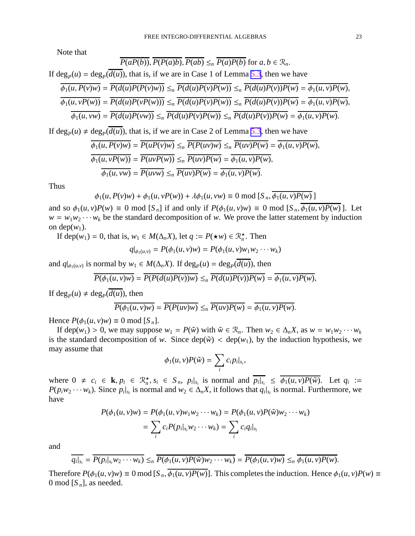<span id="page-23-0"></span>Note that

$$
\overline{P(aP(b))}, \overline{P(P(a)b)}, \overline{P(ab)} \leq_n \overline{P(a)P(b)} \text{ for } a, b \in \mathcal{R}_n.
$$

If  $deg_P(u) = deg_P(d(u))$ , that is, if we are in Case 1 of Lemma [5.3](#page-19-0), then we have

$$
\overline{\phi_1(u, P(v)w)} = \overline{P(d(u)P(P(v)w))} \leq_n \overline{P(d(u)P(v)P(w))} \leq_n \overline{P(d(u)P(v))P(w)} = \overline{\phi_1(u, v)P(w)},
$$
  

$$
\overline{\phi_1(u, vP(w))} = \overline{P(d(u)P(vP(w)))} \leq_n \overline{P(d(u)P(v)P(w))} \leq_n \overline{P(d(u)P(v))P(w)} = \overline{\phi_1(u, v)P(w)},
$$
  

$$
\overline{\phi_1(u, vw)} = \overline{P(d(u)P(vw))} \leq_n \overline{P(d(u)P(v)P(w))} \leq_n \overline{P(d(u)P(v))P(w)} = \overline{\phi_1(u, v)P(w)}.
$$

If  $\deg_P(u) \neq \deg_P(\overline{d(u)})$ , that is, if we are in Case 2 of Lemma [5.3](#page-19-0), then we have

$$
\overline{\phi_1(u, P(v)w)} = \overline{P(uP(v)w)} \leq_n \overline{P(P(uv)w)} \leq_n \overline{P(uv)P(w)} = \overline{\phi_1(u, v)P(w)},
$$
  
\n
$$
\overline{\phi_1(u, vP(w))} = \overline{P(uvP(w))} \leq_n \overline{P(uv)P(w)} = \overline{\phi_1(u, v)P(w)},
$$
  
\n
$$
\overline{\phi_1(u, vw)} = \overline{P(uvw)} \leq_n \overline{P(uv)P(w)} = \overline{\phi_1(u, v)P(w)}.
$$

Thus

$$
\phi_1(u, P(v)w) + \phi_1(u, vP(w)) + \lambda \phi_1(u, vw) \equiv 0 \bmod [S_n, \phi_1(u, v)P(w)]
$$

and so  $\phi_1(u, v)P(w) \equiv 0 \text{ mod } [S_n]$  if and only if  $P(\phi_1(u, v)w) \equiv 0 \text{ mod } [S_n, \phi_1(u, v)P(w)]$ . Let  $w = w_1 w_2 \cdots w_k$  be the standard decomposition of *w*. We prove the latter statement by induction on dep $(w_1)$ .

If dep( $w_1$ ) = 0, that is,  $w_1 \in M(\Delta_n X)$ , let  $q := P(\star w) \in \mathbb{R}_n^{\star}$ . Then

$$
q|_{\phi_1(u,v)} = P(\phi_1(u,v)w) = P(\phi_1(u,v)w_1w_2\cdots w_k)
$$

and  $q|_{\phi_1(u,v)}$  is normal by  $w_1 \in M(\Delta_n X)$ . If  $\deg_P(u) = \deg_P(d(u))$ , then

$$
\overline{P(\phi_1(u,v)w)} = \overline{P(P(d(u)P(v))w)} \leq_n \overline{P(d(u)P(v))P(w)} = \overline{\phi_1(u,v)P(w)},
$$

If  $deg_P(u) \neq deg_P(\overline{d(u)})$ , then

$$
\overline{P(\phi_1(u,v)w)} = \overline{P(P(uv)w)} \leq_n \overline{P(uv)P(w)} = \overline{\phi_1(u,v)P(w)}.
$$

Hence  $P(\phi_1(u, v)w) \equiv 0 \text{ mod } [S_n].$ 

If dep( $w_1$ ) > 0, we may suppose  $w_1 = P(\tilde{w})$  with  $\tilde{w} \in \mathcal{R}_n$ . Then  $w_2 \in \Delta_n X$ , as  $w = w_1 w_2 \cdots w_k$ is the standard decomposition of *w*. Since  $dep(W)$  <  $dep(W_1)$ , by the induction hypothesis, we may assume that

$$
\phi_1(u,v)P(\tilde{w})=\sum_i c_i p_i|_{s_i},
$$

where  $0 \neq c_i \in \mathbf{k}, p_i \in \mathcal{R}_n^{\star}, s_i \in S_n$ ,  $p_i|_{s_i}$  is normal and  $\overline{p_i|_{s_i}} \leq \overline{\phi_1(u, v)P(\tilde{w})}$ . Let  $q_i :=$  $P(p_i w_2 \cdots w_k)$ . Since  $p_i|_{s_i}$  is normal and  $w_2 \in \Delta_n X$ , it follows that  $q_i|_{s_i}$  is normal. Furthermore, we have

$$
P(\phi_1(u, v)w) = P(\phi_1(u, v)w_1w_2\cdots w_k) = P(\phi_1(u, v)P(\tilde{w})w_2\cdots w_k)
$$
  
= 
$$
\sum_i c_i P(p_i|_{s_i}w_2\cdots w_k) = \sum_i c_i q_i|_{s_i}
$$

and

$$
\overline{q_i|_{s_i}} = \overline{P(p_i|_{s_i}w_2\cdots w_k)} \leq_n \overline{P(\phi_1(u,v)P(\tilde{w})w_2\cdots w_k)} = \overline{P(\phi_1(u,v)w)} \leq_n \overline{\phi_1(u,v)P(w)}.
$$

Therefore  $P(\phi_1(u, v)w) \equiv 0 \mod [S_n, \phi_1(u, v)P(w)]$ . This completes the induction. Hence  $\phi_1(u, v)P(w) \equiv$ 0 mod  $[S_n]$ , as needed.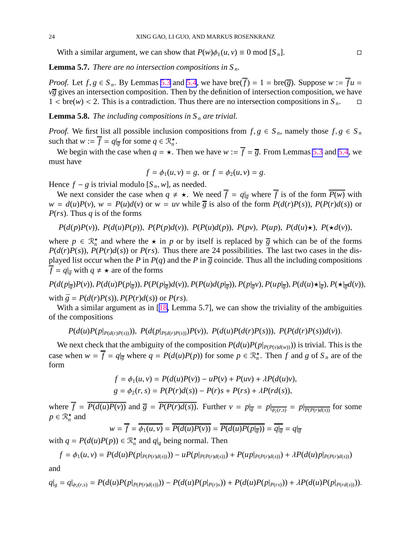<span id="page-24-0"></span>With a similar argument, we can show that  $P(w)\phi_1(u, v) \equiv 0 \text{ mod } [S_n]$ .

**Lemma 5.7.** *There are no intersection compositions in S <sup>n</sup>.*

*Proof.* Let  $f, g \in S_n$ . By Lemmas [5.3](#page-19-0) and [5.4](#page-20-0), we have bre( $\overline{f}$ ) = 1 = bre( $\overline{g}$ ). Suppose  $w := \overline{f}u$  =  $v\overline{g}$  gives an intersection composition. Then by the definition of intersection composition, we have  $1 < \text{bre}(w) < 2$ . This is a contradiction. Thus there are no intersection compositions in  $S_n$ .  $\Box$ 

**Lemma 5.8.** *The including compositions in*  $S_n$  *are trivial.* 

*Proof.* We first list all possible inclusion compositions from  $f, g \in S_n$ , namely those  $f, g \in S_n$ such that  $w := \overline{f} = q|_{\overline{g}}$  for some  $q \in \mathbb{R}_n^*$ .

We begin with the case when  $q = \star$ . Then we have  $w := \overline{f} = \overline{g}$ . From Lemmas [5.3](#page-19-0) and [5.4](#page-20-0), we must have

$$
f = \phi_1(u, v) = g
$$
, or  $f = \phi_2(u, v) = g$ .

Hence  $f - g$  is trivial modulo  $[S_n, w]$ , as needed.

We next consider the case when  $q \neq \star$ . We need  $\overline{f} = q|_{\overline{g}}$  where  $\overline{f}$  is of the form  $\overline{P(w)}$  with  $w = d(u)P(v)$ ,  $w = P(u)d(v)$  or  $w = uv$  while  $\overline{g}$  is also of the form  $P(d(r)P(s))$ ,  $P(P(r)d(s))$  or *P*(*rs*). Thus *q* is of the forms

$$
P(d(p)P(v))
$$
,  $P(d(u)P(p))$ ,  $P(P(p)d(v))$ ,  $P(P(u)d(p))$ ,  $P(pv)$ ,  $P(up)$ ,  $P(d(u)\star)$ ,  $P(\star d(v))$ ,

where  $p \in \mathbb{R}_n^*$  and where the  $\star$  in *p* or by itself is replaced by  $\overline{g}$  which can be of the forms  $P(d(r)P(s))$ ,  $P(P(r)d(s))$  or  $P(rs)$ . Thus there are 24 possibilities. The last two cases in the displayed list occur when the *P* in  $P(q)$  and the *P* in  $\overline{g}$  coincide. Thus all the including compositions  $\overline{f} = q|_{\overline{g}}$  with  $q \neq \star$  are of the forms

 $P(d(p|_{\overline{g}})P(v)), P(d(u)P(p|_{\overline{g}})), P(P(p|_{\overline{g}})d(v)), P(P(u)d(p|_{\overline{g}})), P(p|_{\overline{g}}v), P(up|_{\overline{g}}), P(d(u)\star|_{\overline{g}}), P(\star|_{\overline{g}}d(v)),$ with  $\bar{g} = P(d(r)P(s))$ ,  $P(P(r)d(s))$  or  $P(rs)$ .

With a similar argument as in [[18,](#page-29-0) Lemma 5.7], we can show the triviality of the ambiguities of the compositions

$$
P(d(u)P(p|_{P(d(r)P(s))}))
$$
,  $P(d(p|_{P(d(r)P(s))})P(v))$ ,  $P(d(u)P(d(r)P(s)))$ ,  $P(P(d(r)P(s))d(v))$ .

We next check that the ambiguity of the composition  $P(d(u)P(p|_{P(P(v)d(w)})))$  is trivial. This is the case when  $w = \overline{f} = q|_{\overline{g}}$  where  $q = P(d(u)P(p))$  for some  $p \in \mathbb{R}^{\star}_{n}$ . Then f and g of  $S_n$  are of the form

$$
f = \phi_1(u, v) = P(d(u)P(v)) - uP(v) + P(uv) + \lambda P(d(u)v),
$$
  
\n
$$
g = \phi_2(r, s) = P(P(r)d(s)) - P(r)s + P(rs) + \lambda P(rd(s)),
$$

where  $f = P(d(u)P(v))$  and  $\overline{g} = P(P(r)d(s))$ . Further  $v = p|_{\overline{g}} = p|_{\overline{\phi_2(r,s)}} = p|_{\overline{P(P(r)d(s))}}$  for some  $p \in \mathcal{R}_n^{\star}$  and

$$
w = \overline{f} = \overline{\phi_1(u, v)} = \overline{P(d(u)P(v))} = \overline{P(d(u)P(p)|_{\overline{g}})} = \overline{q|_{\overline{g}}} = q|_{\overline{g}}
$$

with  $q = P(d(u)P(p)) \in \mathbb{R}_n^*$  and  $q|_g$  being normal. Then

$$
f = \phi_1(u, v) = P(d(u)P(p|_{P(P(r)d(s))})) - uP(p|_{P(P(r)d(s))}) + P(up|_{P(P(r)d(s))}) + \lambda P(d(u)p|_{P(P(r)d(s))})
$$

and

$$
q|_{g} = q|_{\phi_2(r,s)} = P(d(u)P(p|_{P(P(r)d(s))})) - P(d(u)P(p|_{P(r)s})) + P(d(u)P(p|_{P(rs)})) + \lambda P(d(u)P(p|_{P(rd(s))})).
$$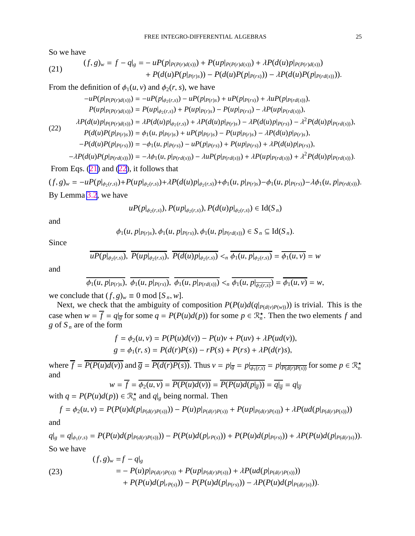<span id="page-25-0"></span>So we have

(21) 
$$
(f,g)_w = f - q|_g = -uP(p|_{P(P(r)d(s))}) + P(u p|_{P(P(r)d(s))}) + \lambda P(d(u)p|_{P(P(r)d(s))}) + P(d(u)P(p|_{P(rs)})) - P(d(u)P(p|_{P(rs)})) - \lambda P(d(u)P(p|_{P(rd(s))})).
$$

From the definition of  $\phi_1(u, v)$  and  $\phi_2(r, s)$ , we have

$$
-uP(p|_{P(P(r)d(s))}) = -uP(p|_{\phi_2(r,s)}) - uP(p|_{P(r)s}) + uP(p|_{P(rs)}) + \lambda uP(p|_{P(rd(s))}),
$$
  
\n
$$
P(up|_{P(P(r)d(s))}) = P(up|_{\phi_2(r,s)}) + P(up|_{P(r)s}) - P(up|_{P(rs)}) - \lambda P(up|_{P(rd(s))}),
$$
  
\n
$$
\lambda P(d(u)p|_{P(P(r)d(s))}) = \lambda P(d(u)p|_{\phi_2(r,s)}) + \lambda P(d(u)p|_{P(r)s}) - \lambda P(d(u)p|_{P(rs)}) - \lambda^2 P(d(u)p|_{P(rd(s))}),
$$
  
\n
$$
P(d(u)P(p|_{P(r)s})) = \phi_1(u, p|_{P(rs)}) + uP(p|_{P(rs)}) - P(up|_{P(rs)}) - \lambda P(d(u)p|_{P(rs)}),
$$
  
\n
$$
-P(d(u)P(p|_{P(rs)})) = -\phi_1(u, p|_{P(rs)}) - uP(p|_{P(rs)}) + P(up|_{P(rs)}) + \lambda P(d(u)p|_{P(rs)}),
$$
  
\n
$$
- \lambda P(d(u)P(p|_{P(rd(s))})) = -\lambda \phi_1(u, p|_{P(rd(s))}) - \lambda uP(p|_{P(rd(s))}) + \lambda P(up|_{P(rd(s))}) + \lambda^2 P(d(u)p|_{P(rd(s))}).
$$

From Eqs. ([21\)](#page-24-0) and ([22\)](#page-24-0), it follows that

 $(f,g)_w = -uP(p|_{\phi_2(r,s)}) + P(u p|_{\phi_2(r,s)}) + \lambda P(d(u)p|_{\phi_2(r,s)}) + \phi_1(u,p|_{P(r)s}) - \phi_1(u,p|_{P(rs)}) - \lambda \phi_1(u,p|_{P(rd(s))}).$ By Lemma [3.2](#page-9-0), we have

$$
uP(p|_{\phi_2(r,s)})
$$
,  $P(up|_{\phi_2(r,s)})$ ,  $P(d(u)p|_{\phi_2(r,s)}) \in \text{Id}(S_n)$ 

and

$$
\phi_1(u, p|_{P(r)s}), \phi_1(u, p|_{P(rs)}), \phi_1(u, p|_{P(rd(s))}) \in S_n \subseteq \text{Id}(S_n).
$$

Since

$$
\overline{uP(p|_{\phi_2(r,s)})},\ \overline{P(up|_{\phi_2(r,s)})},\ \overline{P(d(u)p|_{\phi_2(r,s)})} <_{n} \overline{\phi_1(u,p|_{\phi_2(r,s)})} = \overline{\phi_1(u,v)} = w
$$

and

$$
\overline{\phi_1(u,p|_{P(r)s})}, \overline{\phi_1(u,p|_{P(rs)})}, \overline{\phi_1(u,p|_{P(rd(s))})} <_{n} \overline{\phi_1(u,p|_{\overline{\phi_2(r,s)}})} = \overline{\phi_1(u,v)} = w,
$$

we conclude that  $(f, g)_w \equiv 0 \text{ mod } [S_n, w]$ .

Next, we check that the ambiguity of composition  $P(P(u)d(q|_{P(d(v)P(w)}))$  is trivial. This is the case when  $w = \overline{f} = q|_{\overline{g}}$  for some  $q = P(P(u)d(p))$  for some  $p \in \mathbb{R}_n^*$ . Then the two elements  $f$  and *g* of  $S_n$  are of the form

$$
f = \phi_2(u, v) = P(P(u)d(v)) - P(u)v + P(uv) + \lambda P(ud(v)),
$$
  
\n
$$
g = \phi_1(r, s) = P(d(r)P(s)) - rP(s) + P(rs) + \lambda P(d(r)s),
$$

where  $\overline{f} = \overline{P(P(u)d(v))}$  and  $\overline{g} = \overline{P(d(r)P(s))}$ . Thus  $v = p|_{\overline{g}} = p|_{\overline{\phi_1(r,s)}} = p|_{\overline{P(d(r)P(s))}}$  for some  $p \in \mathbb{R}_n^*$ and

$$
w = \overline{f} = \overline{\phi_2(u, v)} = \overline{P(P(u)d(v))} = \overline{P(P(u)d(p|_{\overline{g}}))} = \overline{q|_{\overline{g}}} = q|_{\overline{g}}
$$

with  $q = P(P(u)d(p)) \in \mathbb{R}_n^*$  and  $q|_g$  being normal. Then

$$
f = \phi_2(u, v) = P(P(u)d(p|_{P(d(r)P(s))})) - P(u)p|_{P(d(r)P(s))} + P(up|_{P(d(r)P(s))}) + \lambda P(ud(p|_{P(d(r)P(s))}))
$$

and

$$
q|_{g} = q|_{\phi_{1}(r,s)} = P(P(u)d(p|_{P(d(r)P(s))})) - P(P(u)d(p|_{rP(s)})) + P(P(u)d(p|_{P(rs)})) + \lambda P(P(u)d(p|_{P(d(r)s)})).
$$
  
So we have

(23)  
\n
$$
(f,g)_w = f - q|_g
$$
\n
$$
= -P(u)p|_{P(d(r)P(s))} + P(up|_{P(d(r)P(s))}) + \lambda P(ud(p|_{P(d(r)P(s))}))
$$
\n
$$
+ P(P(u)d(p|_{rP(s)})) - P(P(u)d(p|_{P(s)})) - \lambda P(P(u)d(p|_{P(d(r)s)})).
$$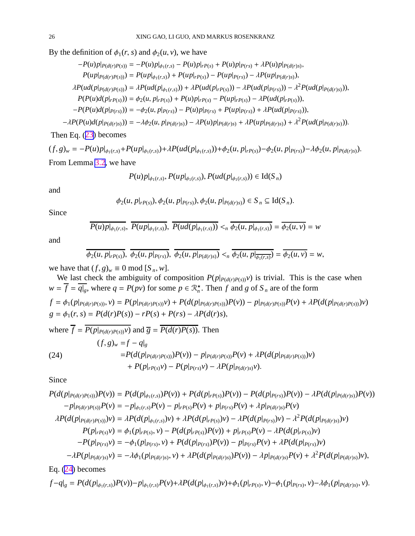<span id="page-26-0"></span>By the definition of  $\phi_1(r, s)$  and  $\phi_2(u, v)$ , we have

$$
-P(u)p|_{P(d(r)P(s))} = -P(u)p|_{\phi_1(r,s)} - P(u)p|_{P(s)} + P(u)p|_{P(rs)} + \lambda P(u)p|_{P(d(r)s)},
$$
  
\n
$$
P(u p|_{P(d(r)P(s))}) = P(u p|_{\phi_1(r,s)}) + P(u p|_{P(s)}) - P(u p|_{P(rs)}) - \lambda P(u p|_{P(d(r)s)}),
$$
  
\n
$$
\lambda P(u d(p|_{P(d(r)P(s))})) = \lambda P(u d(p|_{\phi_1(r,s)})) + \lambda P(u d(p|_{rP(s)})) - \lambda P(u d(p|_{P(rs)})) - \lambda^2 P(u d(p|_{P(d(r)s)})),
$$
  
\n
$$
P(P(u) d(p|_{rP(s)})) = \phi_2(u, p|_{rP(s)}) + P(u) p|_{rP(s)} - P(u p|_{rP(s)}) - \lambda P(u d(p|_{rPs})),
$$
  
\n
$$
-P(P(u) d(p|_{P(rs)})) = -\phi_2(u, p|_{P(rs)}) - P(u) p|_{P(rs)} + P(u p|_{P(rs)}) + \lambda P(u d(p|_{P(rs)})),
$$
  
\n
$$
\lambda P(P(u) d(p|_{rps})) = -\lambda^2 P(u, p|_{P(rs)}) - P(u) p|_{P(rs)} + P(u p|_{P(rs)}) + \lambda P(u d(p|_{P(rs)})),
$$

 $-\lambda P(P(u)d(p|_{P(d(r)s)})) = -\lambda \phi_2(u, p|_{P(d(r)s)}) - \lambda P(u)p|_{P(d(r)s)} + \lambda P(up|_{P(d(r)s)}) + \lambda^2 P(ud(p|_{P(d(r)s)})).$ 

Then Eq. ([23\)](#page-24-0) becomes

$$
(f, g)_w = -P(u)p|_{\phi_1(r,s)} + P(u p|_{\phi_1(r,s)}) + \lambda P(ud(p|_{\phi_1(r,s)})) + \phi_2(u, p|_{rP(s)}) - \phi_2(u, p|_{P(rs)}) - \lambda \phi_2(u, p|_{P(d(r)s)}).
$$
  
From Lemma 3.2, we have

$$
P(u)p|_{\phi_1(r,s)}, P(up|_{\phi_1(r,s)}), P(ud(p|_{\phi_1(r,s)})) \in \text{Id}(S_n)
$$

and

$$
\phi_2(u, p|_{rP(s)})
$$
,  $\phi_2(u, p|_{P(rs)})$ ,  $\phi_2(u, p|_{P(d(r)s)}) \in S_n \subseteq \text{Id}(S_n)$ .

Since

$$
P(u)p|_{\phi_1(r,s)},\ P(up|_{\phi_1(r,s)}),\ P(ud(p|_{\phi_1(r,s)})) <_n \phi_2(u,p|_{\phi_1(r,s)}) = \overline{\phi_2(u,v)} = w
$$

and

$$
\overline{\phi_2(u,p|_{rP(s)})},\ \overline{\phi_2(u,p|_{P(rs)})},\ \overline{\phi_2(u,p|_{P(d(r)s)})} <_{n} \overline{\phi_2(u,p|_{\overline{\phi_1(r,s)}})} = \overline{\phi_2(u,v)} = w,
$$

we have that  $(f, g)_w \equiv 0 \text{ mod } [S_n, w]$ .

We last check the ambiguity of composition  $P(p|_{P(d(r)P(s))}v)$  is trivial. This is the case when  $w = \overline{f} = \overline{q|g}$ , where  $q = P(pv)$  for some  $p \in \mathbb{R}_n^*$ . Then *f* and *g* of *S<sub>n</sub>* are of the form

 $f = \phi_1(p|_{P(d(r)P(s))}, v) = P(p|_{P(d(r)P(s))}v) + P(d(p|_{P(d(r)P(s))})P(v)) - p|_{P(d(r)P(s))}P(v) + \lambda P(d(p|_{P(d(r)P(s))})v)$  $g = \phi_1(r, s) = P(d(r)P(s)) - rP(s) + P(rs) - \lambda P(d(r)s),$ 

where 
$$
\overline{f} = \overline{P(p|_{P(d(r)P(s))}v)}
$$
 and  $\overline{g} = \overline{P(d(r)P(s))}$ . Then  
\n
$$
(f, g)_w = f - q|_g
$$
\n
$$
= P(d(p|_{P(d(r)P(s))})P(v)) - p|_{P(d(r)P(s))}P(v) + \lambda P(d(p|_{P(d(r)P(s))})v)
$$
\n
$$
+ P(p|_{rP(s)}v) - P(p|_{P(s)}v) - \lambda P(p|_{P(d(r)s)}v).
$$

Since

$$
P(d(p|_{P(d(r)P(s))})P(v)) = P(d(p|_{\phi_1(r,s)})P(v)) + P(d(p|_{rP(s)})P(v)) - P(d(p|_{P(rs)})P(v)) - \lambda P(d(p|_{P(d(r)s)})P(v))
$$
  
\n
$$
-p|_{P(d(r)P(s))}P(v) = -p|_{\phi_1(r,s)}P(v) - p|_{rP(s)}P(v) + p|_{P(rs)}P(v) + \lambda p|_{P(d(r)s)}P(v)
$$
  
\n
$$
\lambda P(d(p|_{P(d(r)P(s))})v) = \lambda P(d(p|_{\phi_1(r,s)})v) + \lambda P(d(p|_{rP(s)})v) - \lambda P(d(p|_{P(rs)})v) - \lambda^2 P(d(p|_{P(d(r)s)})v)
$$
  
\n
$$
P(p|_{rP(s)}v) = \phi_1(p|_{rP(s)}, v) - P(d(p|_{rP(s)})P(v)) + p|_{rP(s)}P(v) - \lambda P(d(p|_{rP(s)})v)
$$
  
\n
$$
-P(p|_{P(rs)}v) = -\phi_1(p|_{P(rs)}, v) + P(d(p|_{P(rs)})P(v)) - p|_{P(rs)}P(v) + \lambda P(d(p|_{P(rs)})v)
$$
  
\n
$$
-\lambda P(p|_{P(d(r)s)}v) = -\lambda\phi_1(p|_{P(d(r)s)}, v) + \lambda P(d(p|_{P(d(r)s)})P(v)) - \lambda p|_{P(d(r)s)}P(v) + \lambda^2 P(d(p|_{P(d(r)s)})v),
$$

Eq. [\(24](#page-25-0)) becomes

$$
f-q|_{g} = P(d(p|_{\phi_1(r,s)})P(v)) - p|_{\phi_1(r,s)}P(v) + \lambda P(d(p|_{\phi_1(r,s)})v) + \phi_1(p|_{rP(s)}, v) - \phi_1(p|_{P(rs)}, v) - \lambda \phi_1(p|_{P(d(r)s)}, v).
$$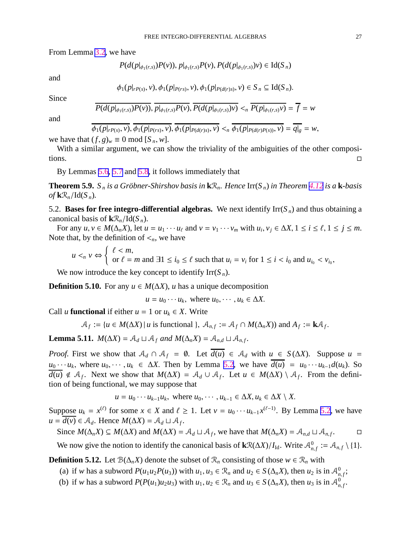<span id="page-27-0"></span>From Lemma [3.2](#page-9-0), we have

$$
P(d(p|_{\phi_1(r,s)})P(v)), p|_{\phi_1(r,s)}P(v), P(d(p|_{\phi_1(r,s)})v) \in \text{Id}(S_n)
$$

and

$$
\phi_1(p|_{rP(s)}, v), \phi_1(p|_{P(rs)}, v), \phi_1(p|_{P(d(r)s)}, v) \in S_n \subseteq \text{Id}(S_n).
$$

Since

$$
\overline{P(d(p|_{\phi_1(r,s)})P(v))}, \overline{p|_{\phi_1(r,s)}P(v)}, \overline{P(d(p|_{\phi_1(r,s)})v)} <_n \overline{P(p|_{\phi_1(r,s)}v)} = \overline{f} = w
$$

and

$$
\phi_1(p|_{rP(s)}, v), \phi_1(p|_{P(rs)}, v), \phi_1(p|_{P(d(r)s)}, v) <_{n} \phi_1(p|_{P(d(r)P(s))}, v) = q|_{g} = w,
$$
\nwe have that

\n
$$
(f, g)_w \equiv 0 \mod [S_n, w].
$$

With a similar argument, we can show the triviality of the ambiguities of the other compositions.

By Lemmas [5.6](#page-21-0), [5.7](#page-23-0) and [5.8](#page-23-0), it follows immediately that

**Theorem 5.9.**  $S_n$  *is a Gröbner-Shirshov basis in*  $\mathbf{k} \mathcal{R}_n$ *. Hence*  $\text{Irr}(S_n)$  *in Theorem [4.12](#page-17-0) is a*  $\mathbf{k}$ *-basis*  $of$ **k** $\mathcal{R}_n$ /Id( $S_n$ ).

5.2. **Bases for free integro-differential algebras.** We next identify  $\text{Irr}(S_n)$  and thus obtaining a canonical basis of  $k\mathcal{R}_n/\text{Id}(S_n)$ .

For any  $u, v \in M(\Delta_n X)$ , let  $u = u_1 \cdots u_\ell$  and  $v = v_1 \cdots v_m$  with  $u_i, v_j \in \Delta X$ ,  $1 \le i \le \ell$ ,  $1 \le j \le m$ . Note that, by the definition of  $\leq_n$ , we have

$$
u <_n v \Leftrightarrow \begin{cases} \ell < m, \\ \text{or } \ell = m \text{ and } \exists 1 \le i_0 \le \ell \text{ such that } u_i = v_i \text{ for } 1 \le i < i_0 \text{ and } u_{i_0} < v_{i_0}, \end{cases}
$$

We now introduce the key concept to identify  $\text{Irr}(S_n)$ .

**Definition 5.10.** For any  $u \in M(\Delta X)$ , *u* has a unique decomposition

$$
u = u_0 \cdots u_k
$$
, where  $u_0, \cdots, u_k \in \Delta X$ .

Call *u* **functional** if either  $u = 1$  or  $u_k \in X$ . Write

$$
\mathcal{A}_f := \{ u \in M(\Delta X) \mid u \text{ is functional } \}, \ \mathcal{A}_{n,f} := \mathcal{A}_f \cap M(\Delta_n X) \text{ and } A_f := \mathbf{k} \mathcal{A}_f
$$

**Lemma 5.11.** *M*( $\Delta X$ ) =  $\mathcal{A}_d \sqcup \mathcal{A}_f$  *and M*( $\Delta_n X$ ) =  $\mathcal{A}_{n,d} \sqcup \mathcal{A}_{n,f}$ .

*Proof.* First we show that  $A_d \cap A_f = \emptyset$ . Let  $\overline{d(u)} \in A_d$  with  $u \in S(\Delta X)$ . Suppose  $u =$  $u_0 \cdots u_k$ , where  $u_0, \cdots, u_k \in \Delta X$ . Then by Lemma [5.2,](#page-19-0) we have  $d(u) = u_0 \cdots u_{k-1} d(u_k)$ . So  $\overline{d(u)}$  ∉  $A_f$ . Next we show that  $M(\Delta X) = A_d \cup A_f$ . Let  $u \in M(\Delta X) \setminus A_f$ . From the definition of being functional, we may suppose that

$$
u = u_0 \cdots u_{k-1} u_k
$$
, where  $u_0, \cdots, u_{k-1} \in \Delta X, u_k \in \Delta X \setminus X$ .

Suppose  $u_k = x^{(\ell)}$  for some  $x \in X$  and  $\ell \ge 1$ . Let  $v = u_0 \cdots u_{k-1} x^{(\ell-1)}$ . By Lemma [5.2,](#page-19-0) we have  $u = \overline{d(v)} \in \mathcal{A}_d$ . Hence  $M(\Delta X) = \mathcal{A}_d \sqcup \mathcal{A}_f$ .

Since 
$$
M(\Delta_n X) \subseteq M(\Delta X)
$$
 and  $M(\Delta X) = \mathcal{A}_d \sqcup \mathcal{A}_f$ , we have that  $M(\Delta_n X) = \mathcal{A}_{n,d} \sqcup \mathcal{A}_{n,f}$ .  $\square$ 

We now give the notion to identify the canonical basis of  $\mathbf{k}\mathcal{R}(\Delta X)/I_{\text{Id}}$ . Write  $\mathcal{A}_{n,f}^0 := \mathcal{A}_{n,f} \setminus \{1\}$ .

**Definition 5.12.** Let  $\mathcal{B}(\Delta_n X)$  denote the subset of  $\mathcal{R}_n$  consisting of those  $w \in \mathcal{R}_n$  with

- (a) if *w* has a subword  $P(u_1u_2P(u_3))$  with  $u_1, u_3 \in \mathcal{R}_n$  and  $u_2 \in S(\Delta_nX)$ , then  $u_2$  is in  $\mathcal{A}_{n,f}^0$ ;
- (b) if *w* has a subword  $P(P(u_1)u_2u_3)$  with  $u_1, u_2 \in \mathcal{R}_n$  and  $u_3 \in S(\Delta_n X)$ , then  $u_3$  is in  $\mathcal{A}_{n,f}^0$ .

.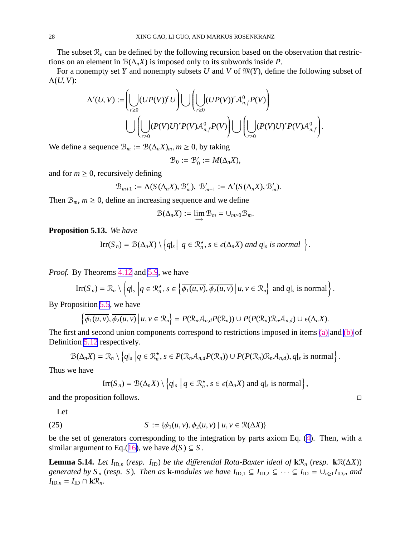<span id="page-28-0"></span>The subset  $\mathcal{R}_n$  can be defined by the following recursion based on the observation that restrictions on an element in  $\mathcal{B}(\Delta_n X)$  is imposed only to its subwords inside *P*.

For a nonempty set *Y* and nonempty subsets *U* and *V* of  $\mathfrak{M}(Y)$ , define the following subset of  $Λ(U, V)$ :

$$
\Lambda'(U,V):=\left(\bigcup_{r\geq 0} (UP(V))^rU\right)\bigcup\left(\bigcup_{r\geq 0} (UP(V))^rA^0_{n,f}P(V)\right)\\ \qquad \qquad \bigcup\left(\bigcup_{r\geq 0} (P(V)U)^rP(V){\mathcal{A}}^0_{n,f}P(V)\right)\bigcup\left(\bigcup_{r\geq 0} (P(V)U)^rP(V){\mathcal{A}}^0_{n,f}\right).
$$

We define a sequence  $\mathcal{B}_m := \mathcal{B}(\Delta_n X)_m, m \ge 0$ , by taking

$$
\mathcal{B}_0:=\mathcal{B}_0':=M(\Delta_nX),
$$

and for  $m \geq 0$ , recursively defining

$$
\mathcal{B}_{m+1}:=\Lambda(S(\Delta_nX),\mathcal{B}'_m),\ \mathcal{B}'_{m+1}:=\Lambda'(S(\Delta_nX),\mathcal{B}'_m).
$$

Then  $B_m$ ,  $m \geq 0$ , define an increasing sequence and we define

$$
\mathcal{B}(\Delta_n X) := \lim_{m \to \infty} \mathcal{B}_m = \cup_{m \geq 0} \mathcal{B}_m.
$$

**Proposition 5.13.** *We have*

$$
\mathrm{Irr}(S_n)=\mathcal{B}(\Delta_n X)\setminus\left\{q|_s\,\big|\,q\in\mathcal{R}_n^\star,\,s\in\epsilon(\Delta_n X)\,\,and\,\,q|_s\,\,is\,\,normal\,\right\}.
$$

*Proof.* By Theorems [4.12](#page-17-0) and [5.9](#page-26-0), we have

$$
\mathrm{Irr}(S_n)=\mathcal{R}_n\setminus\left\{q|_s\,\,\bigg|q\in\mathcal{R}_n^\star,\,s\in\left\{\overline{\phi_1(u,v)},\overline{\phi_2(u,v)}\,\big|\,u,v\in\mathcal{R}_n\right\}\,\,\text{and}\,\,q|_s\,\,\text{is normal}\right\}.
$$

By Proposition [5.5](#page-21-0), we have

$$
\left\{\overline{\phi_1(u,v)},\overline{\phi_2(u,v)}\,\middle|\,u,v\in\mathcal{R}_n\right\}=P(\mathcal{R}_n\mathcal{A}_{n,d}P(\mathcal{R}_n))\cup P(P(\mathcal{R}_n)\mathcal{R}_n\mathcal{A}_{n,d})\cup \epsilon(\Delta_nX).
$$

The first and second union components correspond to restrictions imposed in items [\(a\)](#page-26-0) and [\(b\)](#page-26-0) of Definition [5.12](#page-26-0) respectively.

$$
\mathcal{B}(\Delta_n X) = \mathcal{R}_n \setminus \left\{ q \vert_s \vert q \in \mathcal{R}_n^\star, s \in P(\mathcal{R}_n \mathcal{A}_{n,d} P(\mathcal{R}_n)) \cup P(P(\mathcal{R}_n) \mathcal{R}_n \mathcal{A}_{n,d}), q \vert_s \text{ is normal} \right\}.
$$

Thus we have

$$
\text{Irr}(S_n) = \mathcal{B}(\Delta_n X) \setminus \left\{ q \big|_s \; \big| \; q \in \mathcal{R}_n^\star, \, s \in \epsilon(\Delta_n X) \text{ and } q \big|_s \text{ is normal} \right\},
$$

and the proposition follows.  $\Box$ 

Let

(25) 
$$
S := \{ \phi_1(u, v), \phi_2(u, v) \mid u, v \in \mathcal{R}(\Delta X) \}
$$

be the set of generators corresponding to the integration by parts axiom Eq. [\(4](#page-5-0)). Then, with a similar argument to Eq.([16\)](#page-19-0), we have  $d(S) \subseteq S$ .

**Lemma 5.14.** *Let*  $I_{ID,n}$  (*resp.*  $I_{ID}$ ) *be the differential Rota-Baxter ideal of*  $\mathbf{k}\mathbb{R}_n$  (*resp.*  $\mathbf{k}\mathbb{R}(\Delta X)$ ) *generated by*  $S_n$  (*resp.* S). Then as **k***-modules we have*  $I_{ID,1} \subseteq I_{ID,2} \subseteq \cdots \subseteq I_{ID} = \bigcup_{n\geq 1} I_{ID,n}$  and  $I_{\text{ID},n} = I_{\text{ID}} \cap k\mathcal{R}_n$ .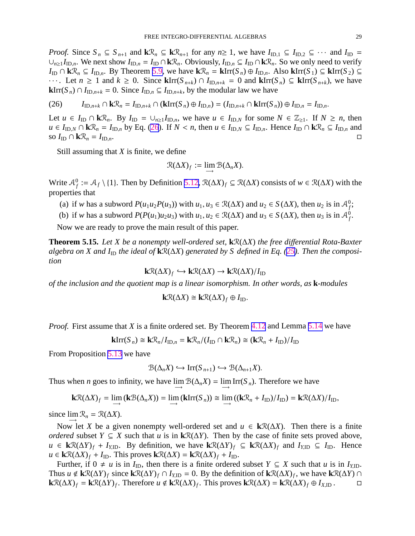<span id="page-29-0"></span>*Proof.* Since  $S_n \subseteq S_{n+1}$  and  $k\mathcal{R}_n \subseteq k\mathcal{R}_{n+1}$  for any  $n \ge 1$ , we have  $I_{ID,1} \subseteq I_{ID,2} \subseteq \cdots$  and  $I_{ID} =$  $\cup_{n\geq 1} I_{\text{ID},n}$ . We next show  $I_{\text{ID},n} = I_{\text{ID}} \cap \mathbf{k} \mathcal{R}_n$ . Obviously,  $I_{\text{ID},n} \subseteq I_{\text{ID}} \cap \mathbf{k} \mathcal{R}_n$ . So we only need to verify *I*D ∩ **k** $\mathcal{R}_n$  ⊆ *I*<sub>ID,*n*</sub>. By Theorem [5.9,](#page-26-0) we have **k** $\mathcal{R}_n$  = **k**Irr(*S*<sub>*n*</sub>) ⊕ *I*<sub>ID,*n*</sub>. Also **k**Irr(*S*<sub>1</sub>) ⊆ **k**Irr(*S*<sub>2</sub>) ⊆  $\cdots$ . Let *n* ≥ 1 and *k* ≥ 0. Since **k**Irr( $S_{n+k}$ ) ∩  $I_{ID,n+k}$  = 0 and **k**Irr( $S_n$ ) ⊆ **k**Irr( $S_{n+k}$ ), we have **k**Irr(*S<sub>n</sub>*) ∩ *I*<sub>ID,*n*+*k*</sub> = 0. Since *I*<sub>ID,*n*</sub> ⊆ *I*<sub>ID,*n*+*k*</sub>, by the modular law we have

$$
(26) \qquad I_{\text{ID},n+k} \cap \mathbf{k} \mathcal{R}_n = I_{\text{ID},n+k} \cap (\mathbf{k} \text{Irr}(S_n) \oplus I_{\text{ID},n}) = (I_{\text{ID},n+k} \cap \mathbf{k} \text{Irr}(S_n)) \oplus I_{\text{ID},n} = I_{\text{ID},n}.
$$

Let *u* ∈ *I*<sub>ID</sub> ∩ **k** $\mathcal{R}_n$ . By *I*<sub>ID</sub> = ∪<sub>*n*≥1</sub>*I*<sub>ID,*n*</sub>, we have *u* ∈ *I*<sub>ID,*N*</sub> for some *N* ∈  $\mathbb{Z}_{\geq 1}$ . If *N* ≥ *n*, then  $u \in I_{\text{ID},N} \cap k\mathcal{R}_n = I_{\text{ID},n}$  by Eq. [\(26](#page-28-0)). If  $N < n$ , then  $u \in I_{\text{ID},N} \subseteq I_{\text{ID},n}$ . Hence  $I_{\text{ID}} \cap k\mathcal{R}_n \subseteq I_{\text{ID},n}$  and so  $I_{\text{ID}} \cap k\mathcal{R}_n = I_{\text{ID},n}$ .

Still assuming that *X* is finite, we define

$$
\mathcal{R}(\Delta X)_f := \lim_{\longrightarrow} \mathcal{B}(\Delta_n X).
$$

Write  $A_f^0 := A_f \setminus \{1\}$ . Then by Definition [5.12,](#page-26-0)  $\mathcal{R}(\Delta X)_f \subseteq \mathcal{R}(\Delta X)$  consists of  $w \in \mathcal{R}(\Delta X)$  with the properties that

- (a) if *w* has a subword  $P(u_1u_2P(u_3))$  with  $u_1, u_3 \in \mathcal{R}(\Delta X)$  and  $u_2 \in S(\Delta X)$ , then  $u_2$  is in  $\mathcal{A}_f^0$ ;
- (b) if *w* has a subword  $P(P(u_1)u_2u_3)$  with  $u_1, u_2 \in \mathcal{R}(\Delta X)$  and  $u_3 \in S(\Delta X)$ , then  $u_3$  is in  $\mathcal{A}_{f}^0$ .

Now we are ready to prove the main result of this paper.

**Theorem 5.15.** *Let X be a nonempty well-ordered set,* **k**R(∆*X*) *the free di*ff*erential Rota-Baxter*  $a$ lgebra on X and  $I<sub>ID</sub>$  the ideal of  $\mathbf{k} \mathcal{R}(\Delta X)$  generated by S defined in Eq. ([25\)](#page-27-0). Then the composi*tion*

$$
\mathbf{k}\mathcal{R}(\Delta X)_f \hookrightarrow \mathbf{k}\mathcal{R}(\Delta X) \to \mathbf{k}\mathcal{R}(\Delta X)/I_{\text{ID}}
$$

*of the inclusion and the quotient map is a linear isomorphism. In other words, as* **k***-modules*

$$
\mathbf{k}\mathcal{R}(\Delta X) \cong \mathbf{k}\mathcal{R}(\Delta X)_f \oplus I_{\text{ID}}.
$$

*Proof.* First assume that *X* is a finite ordered set. By Theorem [4.12](#page-17-0) and Lemma [5.14](#page-27-0) we have

$$
\mathbf{k} \text{Irr}(S_n) \cong \mathbf{k} \mathcal{R}_n / I_{\text{ID},n} = \mathbf{k} \mathcal{R}_n / (I_{\text{ID}} \cap \mathbf{k} \mathcal{R}_n) \cong (\mathbf{k} \mathcal{R}_n + I_{\text{ID}}) / I_{\text{ID}}
$$

From Proposition [5.13](#page-27-0) we have

$$
\mathcal{B}(\Delta_n X) \hookrightarrow \operatorname{Irr}(S_{n+1}) \hookrightarrow \mathcal{B}(\Delta_{n+1} X).
$$

Thus when *n* goes to infinity, we have  $\lim_{n \to \infty} B(\Delta_n X) = \lim_{n \to \infty} \text{Irr}(S_n)$ . Therefore we have

$$
\mathbf{k}\mathcal{R}(\Delta X)_f = \lim_{\longrightarrow} (\mathbf{k}\mathcal{B}(\Delta_n X)) = \lim_{\longrightarrow} (\mathbf{k}\mathrm{Irr}(S_n)) \cong \lim_{\longrightarrow} ((\mathbf{k}\mathcal{R}_n + I_{\mathrm{ID}})/I_{\mathrm{ID}}) = \mathbf{k}\mathcal{R}(\Delta X)/I_{\mathrm{ID}},
$$

since  $\lim_{n \to \infty} \mathcal{R}_n = \mathcal{R}(\Delta X)$ .

Now let *X* be a given nonempty well-ordered set and  $u \in k\mathbb{R}(\Delta X)$ . Then there is a finite *ordered* subset  $Y \subseteq X$  such that *u* is in  $kR(\Delta Y)$ . Then by the case of finite sets proved above, *u* ∈ **k** $\mathbb{R}(\Delta Y)_f$  + *I*<sub>*Y*,ID</sub>. By definition, we have **k** $\mathbb{R}(\Delta Y)_f$  ⊆ **k** $\mathbb{R}(\Delta X)_f$  and *I<sub><i>X*,ID</sub> ⊆ *I*<sub>ID</sub>. Hence  $u \in \mathbf{k}\mathcal{R}(\Delta X)_f + I_{\text{ID}}$ . This proves  $\mathbf{k}\mathcal{R}(\Delta X) = \mathbf{k}\mathcal{R}(\Delta X)_f + I_{\text{ID}}$ .

Further, if  $0 \neq u$  is in *I*<sub>ID</sub>, then there is a finite ordered subset  $Y \subseteq X$  such that *u* is in *I*<sub>*X*,ID</sub>. Thus  $u \notin k\mathcal{R}(\Delta Y)_f$  since  $k\mathcal{R}(\Delta Y)_f \cap I_{Y,\text{ID}} = 0$ . By the definition of  $k\mathcal{R}(\Delta X)_f$ , we have  $k\mathcal{R}(\Delta Y) \cap I_{Y,\text{ID}} = 0$ . **k** $\mathbb{R}(\Delta X)_f$  = **k** $\mathbb{R}(\Delta Y)_f$ . Therefore  $u \notin \mathbf{k} \mathbb{R}(\Delta X)_f$ . This proves  $\mathbf{k} \mathbb{R}(\Delta X)$  =  $\mathbf{k} \mathbb{R}(\Delta X)_f \oplus I_{X,\text{ID}}$ .  $\Box$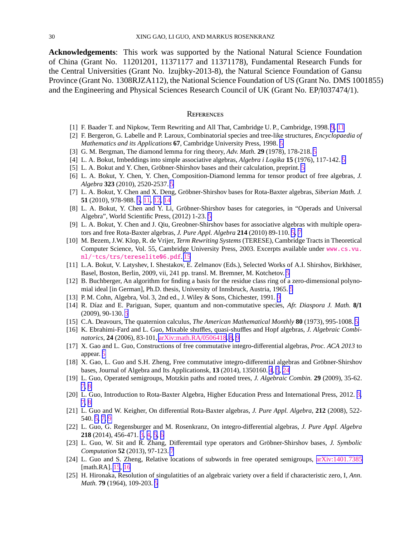<span id="page-30-0"></span>**Acknowledgements**: This work was supported by the National Natural Science Foundation of China (Grant No. 11201201, 11371177 and 11371178), Fundamental Research Funds for the Central Universities (Grant No. lzujbky-2013-8), the Natural Science Foundation of Gansu Province (Grant No. 1308RJZA112), the National Science Foundation of US (Grant No. DMS 1001855) and the Engineering and Physical Sciences Research Council of UK (Grant No. EP/I037474/1).

#### **REFERENCES**

- [1] F. Baader T. and Nipkow, Term Rewriting and All That, Cambridge U. P., Cambridge, 1998. [9](#page-8-0), [11](#page-10-0)
- [2] F. Bergeron, G. Labelle and P. Laroux, Combinatorial species and tree-like structures, *Encyclopaedia of Mathematics and its Applications* **67**, Cambridge University Press, 1998. [5](#page-4-0)
- [3] G. M. Bergman, The diamond lemma for ring theory, *Adv. Math.* **29** (1978), 178-218. [5](#page-4-0)
- [4] L. A. Bokut, Imbeddings into simple associative algebras, *Algebra i Logika* **15** (1976), 117-142. [5](#page-4-0)
- [[5](#page-4-0)] L. A. Bokut and Y. Chen, Gröbner-Shirshov bases and their calculation, preprint. 5
- [6] L. A. Bokut, Y. Chen, Y. Chen, Composition-Diamond lemma for tensor product of free algebras, *J. Algebra* **323** (2010), 2520-2537. [5](#page-4-0)
- [7] L. A. Bokut, Y. Chen and X. Deng, Gröbner-Shirshov bases for Rota-Baxter algebras, *Siberian Math. J.* **51** (2010), 978-988. [5,](#page-4-0) [11,](#page-10-0) [12,](#page-11-0) [14](#page-13-0)
- [8] L. A. Bokut, Y. Chen and Y. Li, Gröbner-Shirshov bases for categories, in "Operads and Universal Algebra", World Scientific Press, (2012) 1-23. [5](#page-4-0)
- [9] L. A. Bokut, Y. Chen and J. Qiu, Greobner-Shirshov bases for associative algebras with multiple operators and free Rota-Baxter algebras, *J. Pure Appl. Algebra* **214** (2010) 89-110. [5,](#page-4-0) [7](#page-6-0)
- [10] M. Bezem, J.W. Klop, R. de Vrijer, *Term Rewriting Systems* (TERESE), Cambridge Tracts in Theoretical Computer Science, Vol. 55, Cambridge University Press, 2003. Excerpts available under www.cs.vu. nl/˜tcs/trs/tereselite06.pdf. [15](#page-14-0)
- [11] L.A. Bokut, V. Latyshev, I. Shestakov, E. Zelmanov (Eds.), Selected Works of A.I. Shirshov, Birkhäser, Basel, Boston, Berlin, 2009, vii, 241 pp. transl. M. Bremner, M. Kotchetov. [5](#page-4-0)
- [12] B. Buchberger, An algorithm for finding a basis for the residue class ring of a zero-dimensional polynomial ideal [in German], Ph.D. thesis, University of Innsbruck, Austria, 1965. [5](#page-4-0)
- [13] P. M. Cohn, Algebra, Vol. 3, 2nd ed., J. Wiley & Sons, Chichester, 1991. [9](#page-8-0)
- [14] R. D´ıaz and E. Pariguan, Super, quantum and non-commutative species, *Afr. Diaspora J. Math.* **8**/**1** (2009), 90-130. [5](#page-4-0)
- [15] C.A. Deavours, The quaternion calculus, *The American Mathematical Monthly* **80** (1973), 995-1008. [5](#page-4-0)
- [16] K. Ebrahimi-Fard and L. Guo, Mixable shuffles, quasi-shuffles and Hopf algebras, *J. Algebraic Combinatorics*, **24** (2006), 83-101, [arXiv:math.RA](http://arxiv.org/abs/math/0506418)/0506418. [8](#page-7-0), [9](#page-8-0)
- [17] X. Gao and L. Guo, Constructions of free commutative integro-differential algebras, *Proc. ACA 2013* to appear. [5](#page-4-0)
- [18] X. Gao, L. Guo and S.H. Zheng, Free commutative integro-differential algebras and Gröbner-Shirshov bases, Journal of Algebra and Its Applicationsk, **13** (2014), 1350160. [4](#page-3-0), [5](#page-4-0), [24](#page-23-0)
- [19] L. Guo, Operated semigroups, Motzkin paths and rooted trees, *J. Algebraic Combin.* **29** (2009), 35-62. [7,](#page-6-0) [8](#page-7-0)
- [20] L. Guo, Introduction to Rota-Baxter Algebra, Higher Education Press and International Press, 2012. [3,](#page-2-0) [7,](#page-6-0) [8](#page-7-0)
- [21] L. Guo and W. Keigher, On differential Rota-Baxter algebras, *J. Pure Appl. Algebra*, **212** (2008), 522- 540. [5,](#page-4-0) [7,](#page-6-0) [9](#page-8-0)
- [22] L. Guo, G. Regensburger and M. Rosenkranz, On integro-differential algebras, *J. Pure Appl. Algebra* **218** (2014), 456-471. [3,](#page-2-0) [4,](#page-3-0) [5,](#page-4-0) [6](#page-5-0)
- [23] L. Guo, W. Sit and R. Zhang, Differemtail type operators and Gröbner-Shirshov bases, *J. Symbolic Computation* **52** (2013), 97-123. [7](#page-6-0)
- [24] L. Guo and S. Zheng, Relative locations of subwords in free operated semigroups, [arXiv:1401.7385](http://arxiv.org/abs/1401.7385) [math.RA]. [15](#page-14-0), [16](#page-15-0)
- [25] H. Hironaka, Resolution of singulatities of an algebraic variety over a field if characteristic zero, I, *Ann. Math.* **79** (1964), 109-203. [5](#page-4-0)